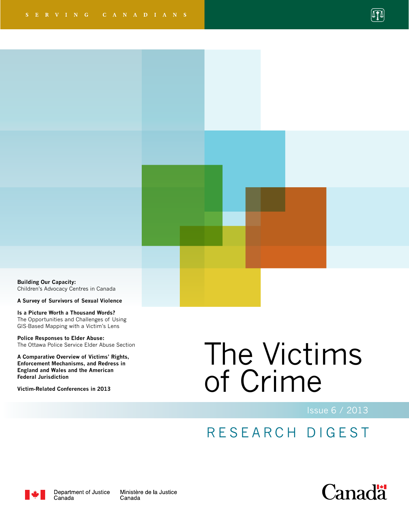

**Building Our Capacity:**  Children's Advocacy Centres in Canada

**A Survey of Survivors of Sexual Violence**

**Is a Picture Worth a Thousand Words?**  The Opportunities and Challenges of Using GIS-Based Mapping with a Victim's Lens

**Police Responses to Elder Abuse:**  The Ottawa Police Service Elder Abuse Section

**A Comparative Overview of Victims' Rights, Enforcement Mechanisms, and Redress in England and Wales and the American Federal Jurisdiction**

**Victim-Related Conferences in 2013**

# The Victims of Crime

Issue 6 / 2013

# RESEARCH DIGEST



Department of Justice Canada

Ministère de la Justice Canada

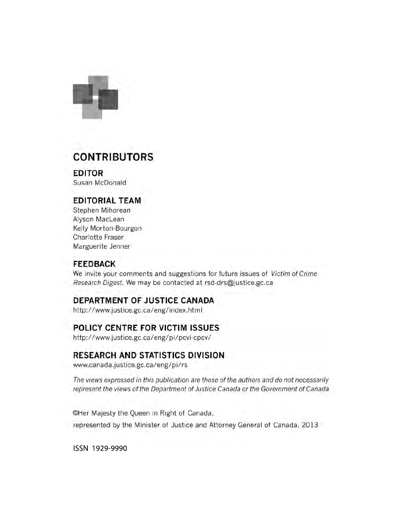

# **CONTRIBUTORS**

**EDITOR** Susan McDonald

# **EDITORIAL TEAM**

Stephen Mihorean Alyson MacLean Kelly Morton-Bourgon Charlotte Fraser Marguerite Jenner

## **FEEDBACK**

We invite your comments and suggestions for future issues of Victim of Crime Research Digest. We may be contacted at rsd-drs@justice.gc.ca

# DEPARTMENT OF JUSTICE CANADA

http://www.justice.gc.ca/eng/index.html

# POLICY CENTRE FOR VICTIM ISSUES

http://www.justice.gc.ca/eng/pi/pcvi-cpcv/

## **RESEARCH AND STATISTICS DIVISION**

www.canada.justice.gc.ca/eng/pi/rs

The views expressed in this publication are those of the authors and do not necessarily represent the views of the Department of Justice Canada or the Government of Canada

©Her Majesty the Queen in Right of Canada, represented by the Minister of Justice and Attorney General of Canada, 2013

ISSN 1929-9990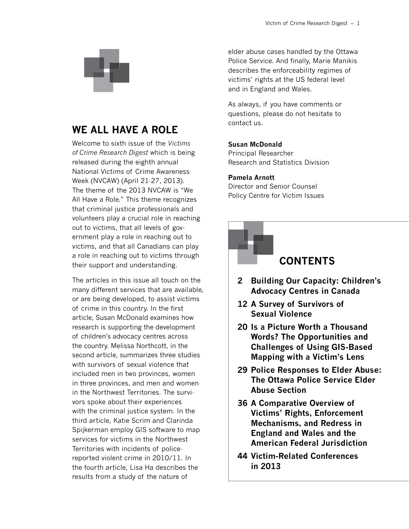

# **We All Have a Role**

Welcome to sixth issue of the *Victims of Crime Research Digest* which is being released during the eighth annual National Victims of Crime Awareness Week (NVCAW) (April 21-27, 2013). The theme of the 2013 NVCAW is "We All Have a Role." This theme recognizes that criminal justice professionals and volunteers play a crucial role in reaching out to victims, that all levels of government play a role in reaching out to victims, and that all Canadians can play a role in reaching out to victims through their support and understanding.

The articles in this issue all touch on the many different services that are available, or are being developed, to assist victims of crime in this country. In the first article, Susan McDonald examines how research is supporting the development of children's advocacy centres across the country. Melissa Northcott, in the second article, summarizes three studies with survivors of sexual violence that included men in two provinces, women in three provinces, and men and women in the Northwest Territories. The survivors spoke about their experiences with the criminal justice system. In the third article, Katie Scrim and Clarinda Spijkerman employ GIS software to map services for victims in the Northwest Territories with incidents of policereported violent crime in 2010/11. In the fourth article, Lisa Ha describes the results from a study of the nature of

elder abuse cases handled by the Ottawa Police Service. And finally, Marie Manikis describes the enforceability regimes of victims' rights at the US federal level and in England and Wales.

As always, if you have comments or questions, please do not hesitate to contact us.

#### **Susan McDonald**

Principal Researcher Research and Statistics Division

#### **Pamela Arnott**

Director and Senior Counsel Policy Centre for Victim Issues

# **Contents**

- **2 Building Our Capacity: Children's Advocacy Centres in Canada**
- **12 A Survey of Survivors of Sexual Violence**
- **20 Is a Picture Worth a Thousand Words? The Opportunities and Challenges of Using GIS-Based Mapping with a Victim's Lens**
- **29 Police Responses to Elder Abuse: The Ottawa Police Service Elder Abuse Section**
- **36 A Comparative Overview of Victims' Rights, Enforcement Mechanisms, and Redress in England and Wales and the American Federal Jurisdiction**
- **44 Victim-Related Conferences in 2013**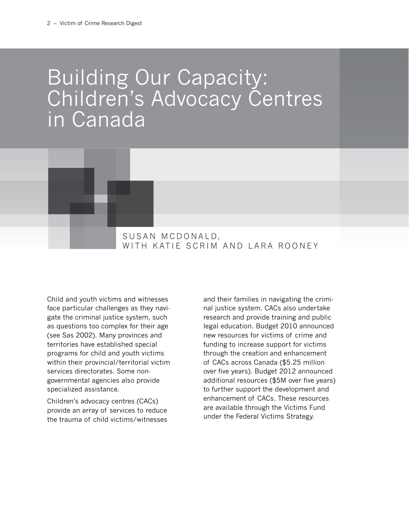# Building Our Capacity: Children's Advocacy Centres in Canada



Child and youth victims and witnesses face particular challenges as they navigate the criminal justice system, such as questions too complex for their age (see Sas 2002). Many provinces and territories have established special programs for child and youth victims within their provincial/territorial victim services directorates. Some nongovernmental agencies also provide specialized assistance.

Children's advocacy centres (CACs) provide an array of services to reduce the trauma of child victims/witnesses and their families in navigating the criminal justice system. CACs also undertake research and provide training and public legal education. Budget 2010 announced new resources for victims of crime and funding to increase support for victims through the creation and enhancement of CACs across Canada (\$5.25 million over five years). Budget 2012 announced additional resources (\$5M over five years) to further support the development and enhancement of CACs. These resources are available through the Victims Fund under the Federal Victims Strategy.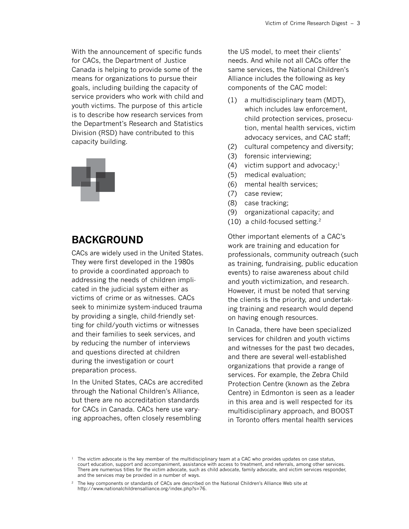With the announcement of specific funds for CACs, the Department of Justice Canada is helping to provide some of the means for organizations to pursue their goals, including building the capacity of service providers who work with child and youth victims. The purpose of this article is to describe how research services from the Department's Research and Statistics Division (RSD) have contributed to this capacity building.



# **Background**

CACs are widely used in the United States. They were first developed in the 1980s to provide a coordinated approach to addressing the needs of children implicated in the judicial system either as victims of crime or as witnesses. CACs seek to minimize system-induced trauma by providing a single, child-friendly setting for child/youth victims or witnesses and their families to seek services, and by reducing the number of interviews and questions directed at children during the investigation or court preparation process.

In the United States, CACs are accredited through the National Children's Alliance, but there are no accreditation standards for CACs in Canada. CACs here use varying approaches, often closely resembling

the US model, to meet their clients' needs. And while not all CACs offer the same services, the National Children's Alliance includes the following as key components of the CAC model:

- (1) a multidisciplinary team (MDT), which includes law enforcement, child protection services, prosecution, mental health services, victim advocacy services, and CAC staff;
- (2) cultural competency and diversity;
- (3) forensic interviewing;
- (4) victim support and advocacy;<sup>1</sup>
- (5) medical evaluation;
- (6) mental health services;
- (7) case review;
- (8) case tracking;
- (9) organizational capacity; and
- (10) a child-focused setting.2

Other important elements of a CAC's work are training and education for professionals, community outreach (such as training, fundraising, public education events) to raise awareness about child and youth victimization, and research. However, it must be noted that serving the clients is the priority, and undertaking training and research would depend on having enough resources.

In Canada, there have been specialized services for children and youth victims and witnesses for the past two decades, and there are several well-established organizations that provide a range of services. For example, the Zebra Child Protection Centre (known as the Zebra Centre) in Edmonton is seen as a leader in this area and is well respected for its multidisciplinary approach, and BOOST in Toronto offers mental health services

 $1$  The victim advocate is the key member of the multidisciplinary team at a CAC who provides updates on case status, court education, support and accompaniment, assistance with access to treatment, and referrals, among other services. There are numerous titles for the victim advocate, such as child advocate, family advocate, and victim services responder, and the services may be provided in a number of ways.

<sup>2</sup> The key components or standards of CACs are described on the National Children's Alliance Web site at [http://www.nationalchildrensalliance.org/index.php?s=76.](http://www.nationalchildrensalliance.org/index.php?s=76)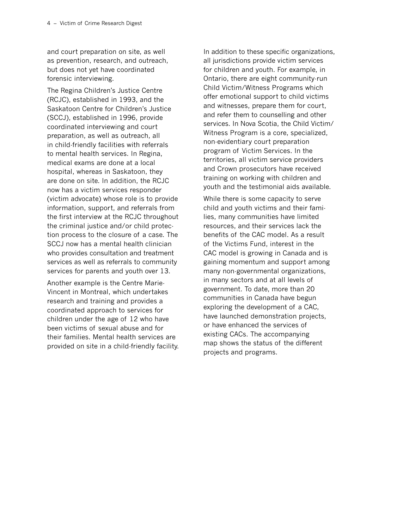and court preparation on site, as well as prevention, research, and outreach, but does not yet have coordinated forensic interviewing.

The Regina Children's Justice Centre (RCJC), established in 1993, and the Saskatoon Centre for Children's Justice (SCCJ), established in 1996, provide coordinated interviewing and court preparation, as well as outreach, all in child-friendly facilities with referrals to mental health services. In Regina, medical exams are done at a local hospital, whereas in Saskatoon, they are done on site. In addition, the RCJC now has a victim services responder (victim advocate) whose role is to provide information, support, and referrals from the first interview at the RCJC throughout the criminal justice and/or child protection process to the closure of a case. The SCCJ now has a mental health clinician who provides consultation and treatment services as well as referrals to community services for parents and youth over 13.

Another example is the Centre Marie-Vincent in Montreal, which undertakes research and training and provides a coordinated approach to services for children under the age of 12 who have been victims of sexual abuse and for their families. Mental health services are provided on site in a child-friendly facility. In addition to these specific organizations, all jurisdictions provide victim services for children and youth. For example, in Ontario, there are eight community-run Child Victim/Witness Programs which offer emotional support to child victims and witnesses, prepare them for court, and refer them to counselling and other services. In Nova Scotia, the Child Victim/ Witness Program is a core, specialized, non-evidentiary court preparation program of Victim Services. In the territories, all victim service providers and Crown prosecutors have received training on working with children and youth and the testimonial aids available.

While there is some capacity to serve child and youth victims and their families, many communities have limited resources, and their services lack the benefits of the CAC model. As a result of the Victims Fund, interest in the CAC model is growing in Canada and is gaining momentum and support among many non-governmental organizations, in many sectors and at all levels of government. To date, more than 20 communities in Canada have begun exploring the development of a CAC, have launched demonstration projects, or have enhanced the services of existing CACs. The accompanying map shows the status of the different projects and programs.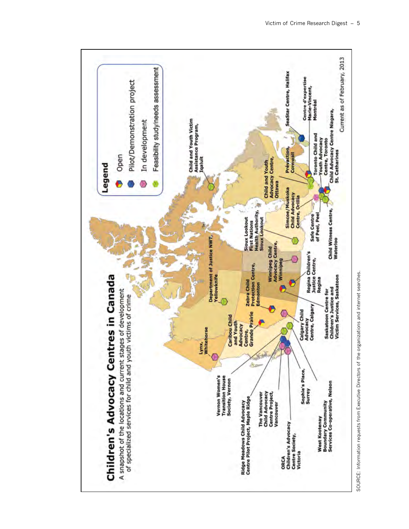

SOURCE: Information requests from Executive Directors of the organizations and internet searches. SOURCE: Information requests from Executive Directors of the organizations and internet searches.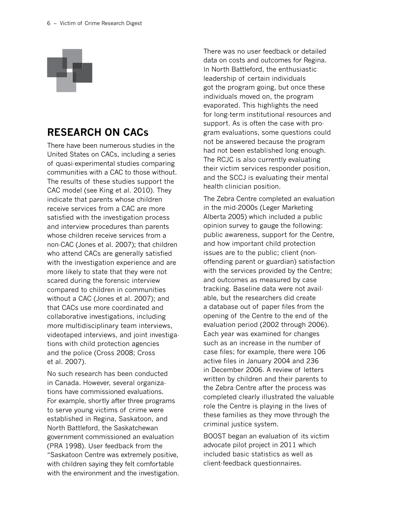

# **Research on CACs**

There have been numerous studies in the United States on CACs, including a series of quasi-experimental studies comparing communities with a CAC to those without. The results of these studies support the CAC model (see King et al. 2010). They indicate that parents whose children receive services from a CAC are more satisfied with the investigation process and interview procedures than parents whose children receive services from a non-CAC (Jones et al. 2007); that children who attend CACs are generally satisfied with the investigation experience and are more likely to state that they were not scared during the forensic interview compared to children in communities without a CAC (Jones et al. 2007); and that CACs use more coordinated and collaborative investigations, including more multidisciplinary team interviews, videotaped interviews, and joint investigations with child protection agencies and the police (Cross 2008; Cross et al. 2007).

No such research has been conducted in Canada. However, several organizations have commissioned evaluations. For example, shortly after three programs to serve young victims of crime were established in Regina, Saskatoon, and North Battleford, the Saskatchewan government commissioned an evaluation (PRA 1998). User feedback from the "Saskatoon Centre was extremely positive, with children saying they felt comfortable with the environment and the investigation.

There was no user feedback or detailed data on costs and outcomes for Regina. In North Battleford, the enthusiastic leadership of certain individuals got the program going, but once these individuals moved on, the program evaporated. This highlights the need for long-term institutional resources and support. As is often the case with program evaluations, some questions could not be answered because the program had not been established long enough. The RCJC is also currently evaluating their victim services responder position, and the SCCJ is evaluating their mental health clinician position.

The Zebra Centre completed an evaluation in the mid-2000s (Leger Marketing Alberta 2005) which included a public opinion survey to gauge the following: public awareness, support for the Centre, and how important child protection issues are to the public; client (nonoffending parent or guardian) satisfaction with the services provided by the Centre; and outcomes as measured by case tracking. Baseline data were not available, but the researchers did create a database out of paper files from the opening of the Centre to the end of the evaluation period (2002 through 2006). Each year was examined for changes such as an increase in the number of case files; for example, there were 106 active files in January 2004 and 236 in December 2006. A review of letters written by children and their parents to the Zebra Centre after the process was completed clearly illustrated the valuable role the Centre is playing in the lives of these families as they move through the criminal justice system.

BOOST began an evaluation of its victim advocate pilot project in 2011 which included basic statistics as well as client-feedback questionnaires.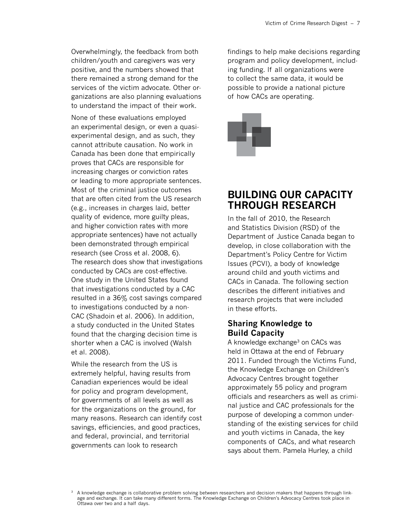Overwhelmingly, the feedback from both children/youth and caregivers was very positive, and the numbers showed that there remained a strong demand for the services of the victim advocate. Other organizations are also planning evaluations to understand the impact of their work.

None of these evaluations employed an experimental design, or even a quasiexperimental design, and as such, they cannot attribute causation. No work in Canada has been done that empirically proves that CACs are responsible for increasing charges or conviction rates or leading to more appropriate sentences. Most of the criminal justice outcomes that are often cited from the US research (e.g., increases in charges laid, better quality of evidence, more guilty pleas, and higher conviction rates with more appropriate sentences) have not actually been demonstrated through empirical research (see Cross et al. 2008, 6). The research does show that investigations conducted by CACs are cost-effective. One study in the United States found that investigations conducted by a CAC resulted in a 36% cost savings compared to investigations conducted by a non-CAC (Shadoin et al. 2006). In addition, a study conducted in the United States found that the charging decision time is shorter when a CAC is involved (Walsh et al. 2008).

While the research from the US is extremely helpful, having results from Canadian experiences would be ideal for policy and program development, for governments of all levels as well as for the organizations on the ground, for many reasons. Research can identify cost savings, efficiencies, and good practices, and federal, provincial, and territorial governments can look to research

findings to help make decisions regarding program and policy development, including funding. If all organizations were to collect the same data, it would be possible to provide a national picture of how CACs are operating.



# **Building Our Capacity Through Research**

In the fall of 2010, the Research and Statistics Division (RSD) of the Department of Justice Canada began to develop, in close collaboration with the Department's Policy Centre for Victim Issues (PCVI), a body of knowledge around child and youth victims and CACs in Canada. The following section describes the different initiatives and research projects that were included in these efforts.

## **Sharing Knowledge to Build Capacity**

A knowledge exchange<sup>3</sup> on CACs was held in Ottawa at the end of February 2011. Funded through the Victims Fund, the Knowledge Exchange on Children's Advocacy Centres brought together approximately 55 policy and program officials and researchers as well as criminal justice and CAC professionals for the purpose of developing a common understanding of the existing services for child and youth victims in Canada, the key components of CACs, and what research says about them. Pamela Hurley, a child

A knowledge exchange is collaborative problem solving between researchers and decision makers that happens through linkage and exchange. It can take many different forms. The Knowledge Exchange on Children's Advocacy Centres took place in Ottawa over two and a half days.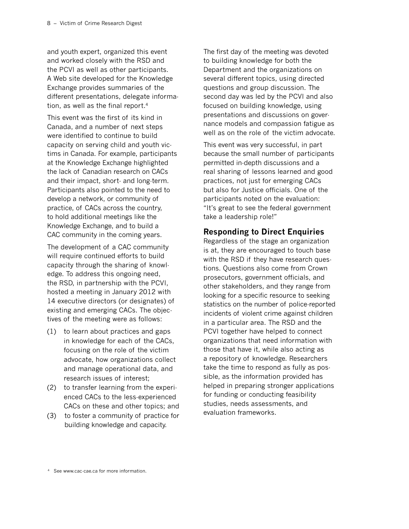and youth expert, organized this event and worked closely with the RSD and the PCVI as well as other participants. A Web site developed for the Knowledge Exchange provides summaries of the different presentations, delegate information, as well as the final report.4

This event was the first of its kind in Canada, and a number of next steps were identified to continue to build capacity on serving child and youth victims in Canada. For example, participants at the Knowledge Exchange highlighted the lack of Canadian research on CACs and their impact, short- and long-term. Participants also pointed to the need to develop a network, or community of practice, of CACs across the country, to hold additional meetings like the Knowledge Exchange, and to build a CAC community in the coming years.

The development of a CAC community will require continued efforts to build capacity through the sharing of knowledge. To address this ongoing need, the RSD, in partnership with the PCVI, hosted a meeting in January 2012 with 14 executive directors (or designates) of existing and emerging CACs. The objectives of the meeting were as follows:

- (1) to learn about practices and gaps in knowledge for each of the CACs, focusing on the role of the victim advocate, how organizations collect and manage operational data, and research issues of interest;
- (2) to transfer learning from the experienced CACs to the less-experienced CACs on these and other topics; and
- (3) to foster a community of practice for building knowledge and capacity.

The first day of the meeting was devoted to building knowledge for both the Department and the organizations on several different topics, using directed questions and group discussion. The second day was led by the PCVI and also focused on building knowledge, using presentations and discussions on governance models and compassion fatigue as well as on the role of the victim advocate.

This event was very successful, in part because the small number of participants permitted in-depth discussions and a real sharing of lessons learned and good practices, not just for emerging CACs but also for Justice officials. One of the participants noted on the evaluation: "It's great to see the federal government take a leadership role!"

# **Responding to Direct Enquiries**

Regardless of the stage an organization is at, they are encouraged to touch base with the RSD if they have research questions. Questions also come from Crown prosecutors, government officials, and other stakeholders, and they range from looking for a specific resource to seeking statistics on the number of police-reported incidents of violent crime against children in a particular area. The RSD and the PCVI together have helped to connect organizations that need information with those that have it, while also acting as a repository of knowledge. Researchers take the time to respond as fully as possible, as the information provided has helped in preparing stronger applications for funding or conducting feasibility studies, needs assessments, and evaluation frameworks.

<sup>4</sup> See <www.cac-cae.ca> for more information.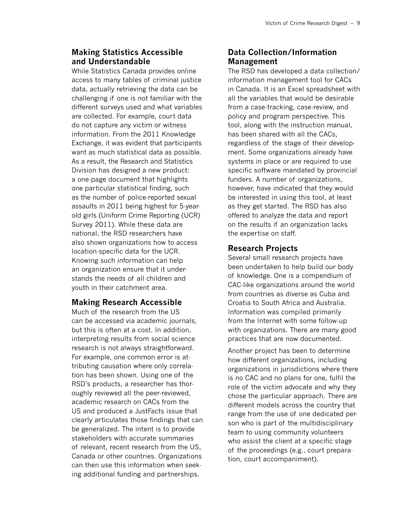# **Making Statistics Accessible and Understandable**

While Statistics Canada provides online access to many tables of criminal justice data, actually retrieving the data can be challenging if one is not familiar with the different surveys used and what variables are collected. For example, court data do not capture any victim or witness information. From the 2011 Knowledge Exchange, it was evident that participants want as much statistical data as possible. As a result, the Research and Statistics Division has designed a new product: a one-page document that highlights one particular statistical finding, such as the number of police-reported sexual assaults in 2011 being highest for 5-yearold girls (Uniform Crime Reporting (UCR) Survey 2011). While these data are national, the RSD researchers have also shown organizations how to access location-specific data for the UCR. Knowing such information can help an organization ensure that it understands the needs of all children and youth in their catchment area.

## **Making Research Accessible**

Much of the research from the US can be accessed via academic journals, but this is often at a cost. In addition, interpreting results from social science research is not always straightforward. For example, one common error is attributing causation where only correlation has been shown. Using one of the RSD's products, a researcher has thoroughly reviewed all the peer-reviewed, academic research on CACs from the US and produced a JustFacts issue that clearly articulates those findings that can be generalized. The intent is to provide stakeholders with accurate summaries of relevant, recent research from the US, Canada or other countries. Organizations can then use this information when seeking additional funding and partnerships.

# **Data Collection/Information Management**

The RSD has developed a data collection/ information management tool for CACs in Canada. It is an Excel spreadsheet with all the variables that would be desirable from a case-tracking, case-review, and policy and program perspective. This tool, along with the instruction manual, has been shared with all the CACs, regardless of the stage of their development. Some organizations already have systems in place or are required to use specific software mandated by provincial funders. A number of organizations, however, have indicated that they would be interested in using this tool, at least as they get started. The RSD has also offered to analyze the data and report on the results if an organization lacks the expertise on staff.

# **Research Projects**

Several small research projects have been undertaken to help build our body of knowledge. One is a compendium of CAC-like organizations around the world from countries as diverse as Cuba and Croatia to South Africa and Australia. Information was compiled primarily from the Internet with some follow-up with organizations. There are many good practices that are now documented.

Another project has been to determine how different organizations, including organizations in jurisdictions where there is no CAC and no plans for one, fulfil the role of the victim advocate and why they chose the particular approach. There are different models across the country that range from the use of one dedicated person who is part of the multidisciplinary team to using community volunteers who assist the client at a specific stage of the proceedings (e.g., court preparation, court accompaniment).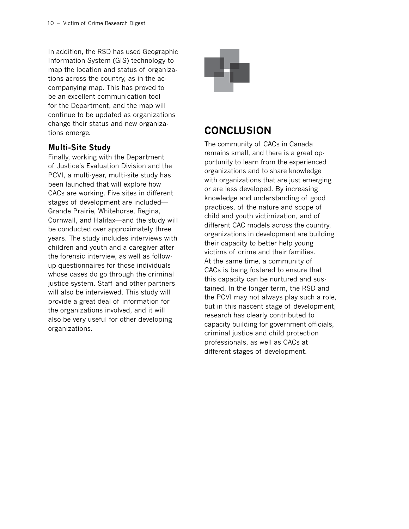In addition, the RSD has used Geographic Information System (GIS) technology to map the location and status of organizations across the country, as in the accompanying map. This has proved to be an excellent communication tool for the Department, and the map will continue to be updated as organizations change their status and new organizations emerge.

# **Multi-Site Study**

Finally, working with the Department of Justice's Evaluation Division and the PCVI, a multi-year, multi-site study has been launched that will explore how CACs are working. Five sites in different stages of development are included— Grande Prairie, Whitehorse, Regina, Cornwall, and Halifax—and the study will be conducted over approximately three years. The study includes interviews with children and youth and a caregiver after the forensic interview, as well as followup questionnaires for those individuals whose cases do go through the criminal justice system. Staff and other partners will also be interviewed. This study will provide a great deal of information for the organizations involved, and it will also be very useful for other developing organizations.



# **Conclusion**

The community of CACs in Canada remains small, and there is a great opportunity to learn from the experienced organizations and to share knowledge with organizations that are just emerging or are less developed. By increasing knowledge and understanding of good practices, of the nature and scope of child and youth victimization, and of different CAC models across the country, organizations in development are building their capacity to better help young victims of crime and their families. At the same time, a community of CACs is being fostered to ensure that this capacity can be nurtured and sustained. In the longer term, the RSD and the PCVI may not always play such a role, but in this nascent stage of development, research has clearly contributed to capacity building for government officials, criminal justice and child protection professionals, as well as CACs at different stages of development.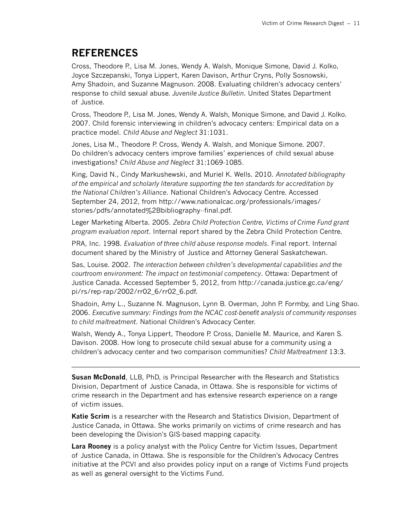# **References**

Cross, Theodore P., Lisa M. Jones, Wendy A. Walsh, Monique Simone, David J. Kolko, Joyce Szczepanski, Tonya Lippert, Karen Davison, Arthur Cryns, Polly Sosnowski, Amy Shadoin, and Suzanne Magnuson. 2008. Evaluating children's advocacy centers' response to child sexual abuse. *Juvenile Justice Bulletin*. United States Department of Justice.

Cross, Theodore P., Lisa M. Jones, Wendy A. Walsh, Monique Simone, and David J. Kolko. 2007. Child forensic interviewing in children's advocacy centers: Empirical data on a practice model. *Child Abuse and Neglect* 31:1031.

Jones, Lisa M., Theodore P. Cross, Wendy A. Walsh, and Monique Simone. 2007. Do children's advocacy centers improve families' experiences of child sexual abuse investigations? *Child Abuse and Neglect* 31:1069-1085.

King, David N., Cindy Markushewski, and Muriel K. Wells. 2010. *Annotated bibliography of the empirical and scholarly literature supporting the ten standards for accreditation by the National Children's Alliance*. National Children's Advocacy Centre. Accessed September 24, 2012, from [http://www.nationalcac.org/professionals/images/](http://www.nationalcac.org/professionals/images/stories/pdfs/annotated%2Bbibliography--final.pdf)  [stories/pdfs/annotated%2Bbibliography--final.pdf.](http://www.nationalcac.org/professionals/images/stories/pdfs/annotated%2Bbibliography--final.pdf)

Leger Marketing Alberta. 2005. *Zebra Child Protection Centre, Victims of Crime Fund grant program evaluation report*. Internal report shared by the Zebra Child Protection Centre.

PRA, Inc. 1998. *Evaluation of three child abuse response models*. Final report. Internal document shared by the Ministry of Justice and Attorney General Saskatchewan.

Sas, Louise. 2002. *The interaction between children's developmental capabilities and the courtroom environment: The impact on testimonial competency*. Ottawa: Department of Justice Canada. Accessed September 5, 2012, from [http://canada.justice.gc.ca/eng/](http://canada.justice.gc.ca/eng/pi/rs/rep-rap/2002/rr02_6/rr02_6.pdf)  [pi/rs/rep-rap/2002/rr02\\_6/rr02\\_6.pdf.](http://canada.justice.gc.ca/eng/pi/rs/rep-rap/2002/rr02_6/rr02_6.pdf)

Shadoin, Amy L., Suzanne N. Magnuson, Lynn B. Overman, John P. Formby, and Ling Shao. 2006. *Executive summary: Findings from the NCAC cost-benefit analysis of community responses to child maltreatment*. National Children's Advocacy Center.

Walsh, Wendy A., Tonya Lippert, Theodore P. Cross, Danielle M. Maurice, and Karen S. Davison. 2008. How long to prosecute child sexual abuse for a community using a children's advocacy center and two comparison communities? *Child Maltreatment* 13:3.

**Susan McDonald**, LLB, PhD, is Principal Researcher with the Research and Statistics Division, Department of Justice Canada, in Ottawa. She is responsible for victims of crime research in the Department and has extensive research experience on a range of victim issues.

**Katie Scrim** is a researcher with the Research and Statistics Division, Department of Justice Canada, in Ottawa. She works primarily on victims of crime research and has been developing the Division's GIS-based mapping capacity.

**Lara Rooney** is a policy analyst with the Policy Centre for Victim Issues, Department of Justice Canada, in Ottawa. She is responsible for the Children's Advocacy Centres initiative at the PCVI and also provides policy input on a range of Victims Fund projects as well as general oversight to the Victims Fund.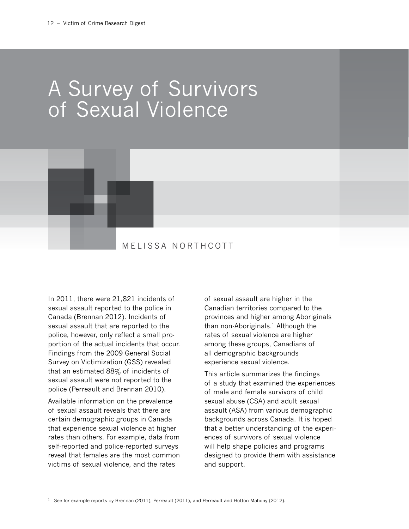# A Survey of Survivors of Sexual Violence



# MELISSA NORTHCOTT

In 2011, there were 21,821 incidents of sexual assault reported to the police in Canada (Brennan 2012). Incidents of sexual assault that are reported to the police, however, only reflect a small proportion of the actual incidents that occur. Findings from the 2009 General Social Survey on Victimization (GSS) revealed that an estimated 88% of incidents of sexual assault were not reported to the police (Perreault and Brennan 2010).

Available information on the prevalence of sexual assault reveals that there are certain demographic groups in Canada that experience sexual violence at higher rates than others. For example, data from self-reported and police-reported surveys reveal that females are the most common victims of sexual violence, and the rates

of sexual assault are higher in the Canadian territories compared to the provinces and higher among Aboriginals than non-Aboriginals. $1$  Although the rates of sexual violence are higher among these groups, Canadians of all demographic backgrounds experience sexual violence.

This article summarizes the findings of a study that examined the experiences of male and female survivors of child sexual abuse (CSA) and adult sexual assault (ASA) from various demographic backgrounds across Canada. It is hoped that a better understanding of the experiences of survivors of sexual violence will help shape policies and programs designed to provide them with assistance and support.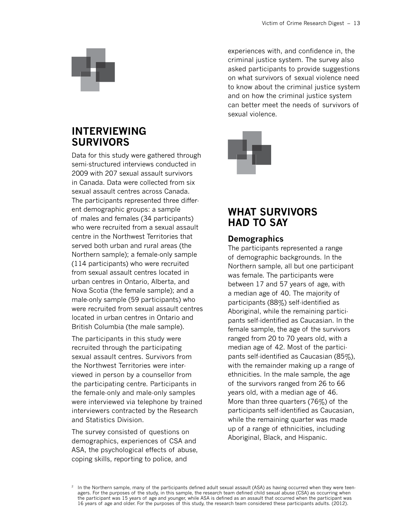# **Interviewing Survivors**

Data for this study were gathered through semi-structured interviews conducted in 2009 with 207 sexual assault survivors in Canada. Data were collected from six sexual assault centres across Canada. The participants represented three different demographic groups: a sample of males and females (34 participants) who were recruited from a sexual assault centre in the Northwest Territories that served both urban and rural areas (the Northern sample); a female-only sample (114 participants) who were recruited from sexual assault centres located in urban centres in Ontario, Alberta, and Nova Scotia (the female sample); and a male-only sample (59 participants) who were recruited from sexual assault centres located in urban centres in Ontario and British Columbia (the male sample).

The participants in this study were recruited through the participating sexual assault centres. Survivors from the Northwest Territories were interviewed in person by a counsellor from the participating centre. Participants in the female-only and male-only samples were interviewed via telephone by trained interviewers contracted by the Research and Statistics Division.

The survey consisted of questions on demographics, experiences of CSA and ASA, the psychological effects of abuse, coping skills, reporting to police, and

experiences with, and confidence in, the criminal justice system. The survey also asked participants to provide suggestions on what survivors of sexual violence need to know about the criminal justice system and on how the criminal justice system can better meet the needs of survivors of sexual violence.



# **What Survivors Had to Say**

# **Demographics**

The participants represented a range of demographic backgrounds. In the Northern sample, all but one participant was female. The participants were between 17 and 57 years of age, with a median age of 40. The majority of participants (88%) self-identified as Aboriginal, while the remaining participants self-identified as Caucasian. In the female sample, the age of the survivors ranged from 20 to 70 years old, with a median age of 42. Most of the participants self-identified as Caucasian (85%), with the remainder making up a range of ethnicities. In the male sample, the age of the survivors ranged from 26 to 66 years old, with a median age of 46. More than three quarters (76%) of the participants self-identified as Caucasian, while the remaining quarter was made up of a range of ethnicities, including Aboriginal, Black, and Hispanic.

<sup>&</sup>lt;sup>2</sup> In the Northern sample, many of the participants defined adult sexual assault (ASA) as having occurred when they were teenagers. For the purposes of the study, in this sample, the research team defined child sexual abuse (CSA) as occurring when the participant was 15 years of age and younger, while ASA is defined as an assault that occurred when the participant was 16 years of age and older. For the purposes of this study, the research team considered these participants adults. (2012).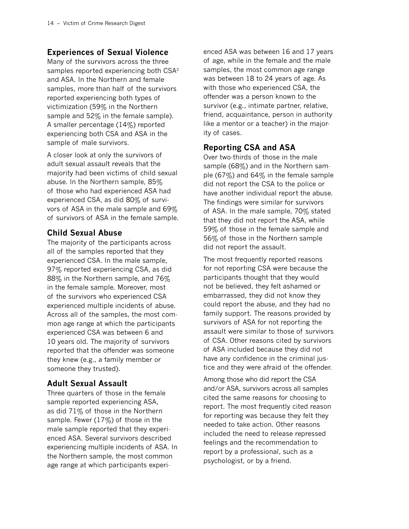# **Experiences of Sexual Violence**

Many of the survivors across the three samples reported experiencing both CSA<sup>2</sup> and ASA. In the Northern and female samples, more than half of the survivors reported experiencing both types of victimization (59% in the Northern sample and 52% in the female sample). A smaller percentage (14%) reported experiencing both CSA and ASA in the sample of male survivors.

A closer look at only the survivors of adult sexual assault reveals that the majority had been victims of child sexual abuse. In the Northern sample, 85% of those who had experienced ASA had experienced CSA, as did 80% of survivors of ASA in the male sample and 69% of survivors of ASA in the female sample.

# **Child Sexual Abuse**

The majority of the participants across all of the samples reported that they experienced CSA. In the male sample, 97% reported experiencing CSA, as did 88% in the Northern sample, and 76% in the female sample. Moreover, most of the survivors who experienced CSA experienced multiple incidents of abuse. Across all of the samples, the most common age range at which the participants experienced CSA was between 6 and 10 years old. The majority of survivors reported that the offender was someone they knew (e.g., a family member or someone they trusted).

# **Adult Sexual Assault**

Three quarters of those in the female sample reported experiencing ASA, as did 71% of those in the Northern sample. Fewer (17%) of those in the male sample reported that they experienced ASA. Several survivors described experiencing multiple incidents of ASA. In the Northern sample, the most common age range at which participants experienced ASA was between 16 and 17 years of age, while in the female and the male samples, the most common age range was between 18 to 24 years of age. As with those who experienced CSA, the offender was a person known to the survivor (e.g., intimate partner, relative, friend, acquaintance, person in authority like a mentor or a teacher) in the majority of cases.

# **Reporting CSA and ASA**

Over two-thirds of those in the male sample (68%) and in the Northern sample (67%) and 64% in the female sample did not report the CSA to the police or have another individual report the abuse. The findings were similar for survivors of ASA. In the male sample, 70% stated that they did not report the ASA, while 59% of those in the female sample and 56% of those in the Northern sample did not report the assault.

The most frequently reported reasons for not reporting CSA were because the participants thought that they would not be believed, they felt ashamed or embarrassed, they did not know they could report the abuse, and they had no family support. The reasons provided by survivors of ASA for not reporting the assault were similar to those of survivors of CSA. Other reasons cited by survivors of ASA included because they did not have any confidence in the criminal justice and they were afraid of the offender.

Among those who did report the CSA and/or ASA, survivors across all samples cited the same reasons for choosing to report. The most frequently cited reason for reporting was because they felt they needed to take action. Other reasons included the need to release repressed feelings and the recommendation to report by a professional, such as a psychologist, or by a friend.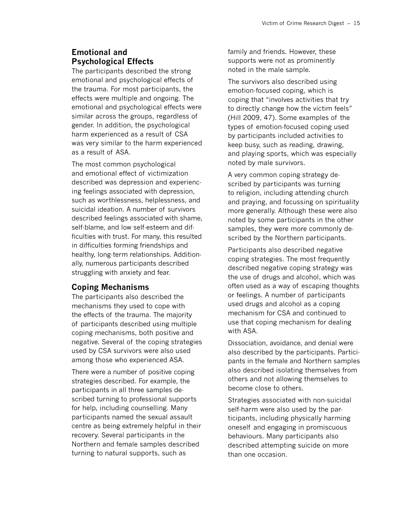# **Emotional and Psychological Effects**

The participants described the strong emotional and psychological effects of the trauma. For most participants, the effects were multiple and ongoing. The emotional and psychological effects were similar across the groups, regardless of gender. In addition, the psychological harm experienced as a result of CSA was very similar to the harm experienced as a result of ASA.

The most common psychological and emotional effect of victimization described was depression and experiencing feelings associated with depression, such as worthlessness, helplessness, and suicidal ideation. A number of survivors described feelings associated with shame, self-blame, and low self-esteem and difficulties with trust. For many, this resulted in difficulties forming friendships and healthy, long-term relationships. Additionally, numerous participants described struggling with anxiety and fear.

#### **Coping Mechanisms**

The participants also described the mechanisms they used to cope with the effects of the trauma. The majority of participants described using multiple coping mechanisms, both positive and negative. Several of the coping strategies used by CSA survivors were also used among those who experienced ASA.

There were a number of positive coping strategies described. For example, the participants in all three samples described turning to professional supports for help, including counselling. Many participants named the sexual assault centre as being extremely helpful in their recovery. Several participants in the Northern and female samples described turning to natural supports, such as

family and friends. However, these supports were not as prominently noted in the male sample.

The survivors also described using emotion-focused coping, which is coping that "involves activities that try to directly change how the victim feels" (Hill 2009, 47). Some examples of the types of emotion-focused coping used by participants included activities to keep busy, such as reading, drawing, and playing sports, which was especially noted by male survivors.

A very common coping strategy described by participants was turning to religion, including attending church and praying, and focussing on spirituality more generally. Although these were also noted by some participants in the other samples, they were more commonly described by the Northern participants.

Participants also described negative coping strategies. The most frequently described negative coping strategy was the use of drugs and alcohol, which was often used as a way of escaping thoughts or feelings. A number of participants used drugs and alcohol as a coping mechanism for CSA and continued to use that coping mechanism for dealing with ASA.

Dissociation, avoidance, and denial were also described by the participants. Participants in the female and Northern samples also described isolating themselves from others and not allowing themselves to become close to others.

Strategies associated with non-suicidal self-harm were also used by the participants, including physically harming oneself and engaging in promiscuous behaviours. Many participants also described attempting suicide on more than one occasion.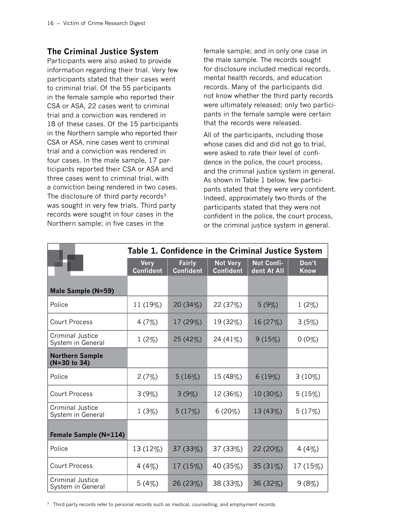# **The Criminal Justice System**

Participants were also asked to provide information regarding their trial. Very few participants stated that their cases went to criminal trial. Of the 55 participants in the female sample who reported their CSA or ASA, 22 cases went to criminal trial and a conviction was rendered in 18 of these cases. Of the 15 participants in the Northern sample who reported their CSA or ASA, nine cases went to criminal trial and a conviction was rendered in four cases. In the male sample, 17 participants reported their CSA or ASA and three cases went to criminal trial, with a conviction being rendered in two cases. The disclosure of third party records $3$ was sought in very few trials. Third party records were sought in four cases in the Northern sample; in five cases in the

female sample; and in only one case in the male sample. The records sought for disclosure included medical records, mental health records, and education records. Many of the participants did not know whether the third party records were ultimately released; only two participants in the female sample were certain that the records were released.

All of the participants, including those whose cases did and did not go to trial, were asked to rate their level of confidence in the police, the court process, and the criminal justice system in general. As shown in Table 1 below, few participants stated that they were very confident. Indeed, approximately two-thirds of the participants stated that they were not confident in the police, the court process, or the criminal justice system in general.

|                                              | Table 1. Confidence in the Criminal Justice System |                                   |                                     |                           |                      |
|----------------------------------------------|----------------------------------------------------|-----------------------------------|-------------------------------------|---------------------------|----------------------|
|                                              | <b>Very</b><br><b>Confident</b>                    | <b>Fairly</b><br><b>Confident</b> | <b>Not Very</b><br><b>Confident</b> | Not Confi-<br>dent At All | Don't<br><b>Know</b> |
| Male Sample (N=59)                           |                                                    |                                   |                                     |                           |                      |
| Police                                       | 11 (19%)                                           | 20 (34%)                          | 22 (37%)                            | 5(9%)                     | $1(2\%)$             |
| <b>Court Process</b>                         | 4(7%)                                              | 17 (29%)                          | 19 (32%)                            | 16 (27%)                  | 3(5%)                |
| <b>Criminal Justice</b><br>System in General | $1(2\%)$                                           | 25 (42%)                          | 24 (41%)                            | 9(15%)                    | $0(0\%)$             |
| <b>Northern Sample</b><br>(N=30 to 34)       |                                                    |                                   |                                     |                           |                      |
| Police                                       | 2(7%)                                              | 5(16%)                            | 15 (48%)                            | 6(19%)                    | $3(10\%)$            |
| <b>Court Process</b>                         | 3(9%)                                              | 3(9%)                             | 12 (36%)                            | $10(30\%)$                | 5(15%)               |
| <b>Criminal Justice</b><br>System in General | 1(3%)                                              | 5(17%)                            | 6(20%)                              | 13 (43%)                  | 5(17%)               |
| Female Sample (N=114)                        |                                                    |                                   |                                     |                           |                      |
| Police                                       | 13 (12%)                                           | 37 (33%)                          | 37 (33%)                            | 22 (20%)                  | 4(4%)                |
| <b>Court Process</b>                         | 4 (4%)                                             | $17(15\%)$                        | 40 (35%)                            | 35(31%)                   | 17 (15%)             |
| <b>Criminal Justice</b><br>System in General | 5(4%)                                              | 26 (23%)                          | 38 (33%)                            | 36 (32%)                  | 9(8%)                |

<sup>3</sup> Third party records refer to personal records such as medical, counselling, and employment records.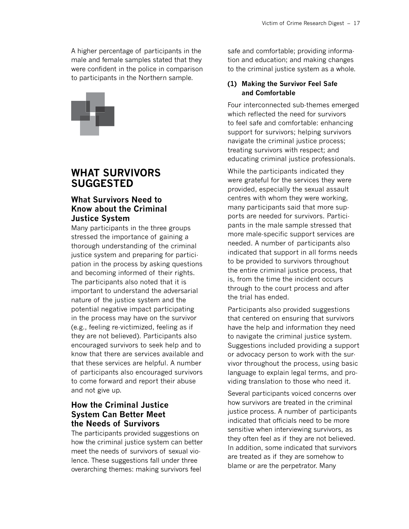A higher percentage of participants in the male and female samples stated that they were confident in the police in comparison to participants in the Northern sample.



# **What Survivors Suggested**

# **What Survivors Need to Know about the Criminal Justice System**

Many participants in the three groups stressed the importance of gaining a thorough understanding of the criminal justice system and preparing for participation in the process by asking questions and becoming informed of their rights. The participants also noted that it is important to understand the adversarial nature of the justice system and the potential negative impact participating in the process may have on the survivor (e.g., feeling re-victimized, feeling as if they are not believed). Participants also encouraged survivors to seek help and to know that there are services available and that these services are helpful. A number of participants also encouraged survivors to come forward and report their abuse and not give up.

# **How the Criminal Justice System Can Better Meet the Needs of Survivors**

The participants provided suggestions on how the criminal justice system can better meet the needs of survivors of sexual violence. These suggestions fall under three overarching themes: making survivors feel

safe and comfortable; providing information and education; and making changes to the criminal justice system as a whole.

#### **(1) Making the Survivor Feel Safe and Comfortable**

Four interconnected sub-themes emerged which reflected the need for survivors to feel safe and comfortable: enhancing support for survivors; helping survivors navigate the criminal justice process; treating survivors with respect; and educating criminal justice professionals.

While the participants indicated they were grateful for the services they were provided, especially the sexual assault centres with whom they were working, many participants said that more supports are needed for survivors. Participants in the male sample stressed that more male-specific support services are needed. A number of participants also indicated that support in all forms needs to be provided to survivors throughout the entire criminal justice process, that is, from the time the incident occurs through to the court process and after the trial has ended.

Participants also provided suggestions that centered on ensuring that survivors have the help and information they need to navigate the criminal justice system. Suggestions included providing a support or advocacy person to work with the survivor throughout the process, using basic language to explain legal terms, and providing translation to those who need it.

Several participants voiced concerns over how survivors are treated in the criminal justice process. A number of participants indicated that officials need to be more sensitive when interviewing survivors, as they often feel as if they are not believed. In addition, some indicated that survivors are treated as if they are somehow to blame or are the perpetrator. Many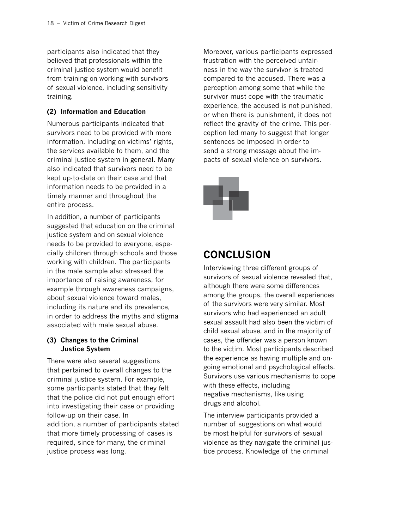participants also indicated that they believed that professionals within the criminal justice system would benefit from training on working with survivors of sexual violence, including sensitivity training.

#### **(2) Information and Education**

Numerous participants indicated that survivors need to be provided with more information, including on victims' rights, the services available to them, and the criminal justice system in general. Many also indicated that survivors need to be kept up-to-date on their case and that information needs to be provided in a timely manner and throughout the entire process.

In addition, a number of participants suggested that education on the criminal justice system and on sexual violence needs to be provided to everyone, especially children through schools and those working with children. The participants in the male sample also stressed the importance of raising awareness, for example through awareness campaigns, about sexual violence toward males, including its nature and its prevalence, in order to address the myths and stigma associated with male sexual abuse.

#### **(3) Changes to the Criminal Justice System**

There were also several suggestions that pertained to overall changes to the criminal justice system. For example, some participants stated that they felt that the police did not put enough effort into investigating their case or providing follow-up on their case. In addition, a number of participants stated that more timely processing of cases is required, since for many, the criminal justice process was long.

Moreover, various participants expressed frustration with the perceived unfairness in the way the survivor is treated compared to the accused. There was a perception among some that while the survivor must cope with the traumatic experience, the accused is not punished, or when there is punishment, it does not reflect the gravity of the crime. This perception led many to suggest that longer sentences be imposed in order to send a strong message about the impacts of sexual violence on survivors.



# **Conclusion**

Interviewing three different groups of survivors of sexual violence revealed that, although there were some differences among the groups, the overall experiences of the survivors were very similar. Most survivors who had experienced an adult sexual assault had also been the victim of child sexual abuse, and in the majority of cases, the offender was a person known to the victim. Most participants described the experience as having multiple and ongoing emotional and psychological effects. Survivors use various mechanisms to cope with these effects, including negative mechanisms, like using drugs and alcohol.

The interview participants provided a number of suggestions on what would be most helpful for survivors of sexual violence as they navigate the criminal justice process. Knowledge of the criminal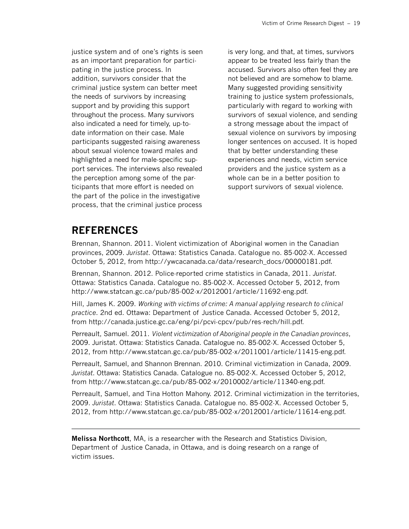justice system and of one's rights is seen as an important preparation for participating in the justice process. In addition, survivors consider that the criminal justice system can better meet the needs of survivors by increasing support and by providing this support throughout the process. Many survivors also indicated a need for timely, up-todate information on their case. Male participants suggested raising awareness about sexual violence toward males and highlighted a need for male-specific support services. The interviews also revealed the perception among some of the participants that more effort is needed on the part of the police in the investigative process, that the criminal justice process

is very long, and that, at times, survivors appear to be treated less fairly than the accused. Survivors also often feel they are not believed and are somehow to blame. Many suggested providing sensitivity training to justice system professionals, particularly with regard to working with survivors of sexual violence, and sending a strong message about the impact of sexual violence on survivors by imposing longer sentences on accused. It is hoped that by better understanding these experiences and needs, victim service providers and the justice system as a whole can be in a better position to support survivors of sexual violence.

# **References**

Brennan, Shannon. 2011. Violent victimization of Aboriginal women in the Canadian provinces, 2009. *Juristat*. Ottawa: Statistics Canada. Catalogue no. 85-002-X. Accessed October 5, 2012, from [http://ywcacanada.ca/data/research\\_docs/00000181.pdf.](http://ywcacanada.ca/data/research_docs/00000181.pdf)

Brennan, Shannon. 2012. Police-reported crime statistics in Canada, 2011. *Juristat*. Ottawa: Statistics Canada. Catalogue no. 85-002-X. Accessed October 5, 2012, from <http://www.statcan.gc.ca/pub/85-002-x/2012001/article/11692-eng.pdf>.

Hill, James K. 2009. *Working with victims of crime: A manual applying research to clinical practice*. 2nd ed. Ottawa: Department of Justice Canada. Accessed October 5, 2012, from [http://canada.justice.gc.ca/eng/pi/pcvi-cpcv/pub/res-rech/hill.pdf](http://).

Perreault, Samuel. 2011. *Violent victimization of Aboriginal people in the Canadian provinces*, 2009. Juristat. Ottawa: Statistics Canada. Catalogue no. 85-002-X. Accessed October 5, 2012, from<http://www.statcan.gc.ca/pub/85-002-x/2011001/article/11415-eng.pdf>.

Perreault, Samuel, and Shannon Brennan. 2010. Criminal victimization in Canada, 2009. *Juristat*. Ottawa: Statistics Canada. Catalogue no. 85-002-X. Accessed October 5, 2012, from [http://www.statcan.gc.ca/pub/85-002-x/2010002/article/11340-eng.pdf.](http://www.statcan.gc.ca/pub/85-002-x/2011001/article/11415-eng.pdf)

Perreault, Samuel, and Tina Hotton Mahony. 2012. Criminal victimization in the territories, 2009. *Juristat*. Ottawa: Statistics Canada. Catalogue no. 85-002-X. Accessed October 5, 2012, from<http://www.statcan.gc.ca/pub/85-002-x/2012001/article/11614-eng.pdf>.

**Melissa Northcott**, MA, is a researcher with the Research and Statistics Division, Department of Justice Canada, in Ottawa, and is doing research on a range of victim issues.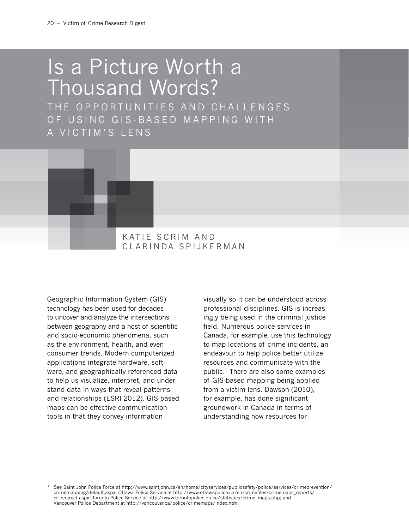# Is a Picture Worth a Thousand Words?

THE OPPORTUNITIES AND CHALLENGES OF USING GIS-BASED MAPPING WITH A VICTIM'S LENS



C larinda S pijkerman

Geographic Information System (GIS) technology has been used for decades to uncover and analyze the intersections between geography and a host of scientific and socio-economic phenomena, such as the environment, health, and even consumer trends. Modern computerized applications integrate hardware, software, and geographically referenced data to help us visualize, interpret, and understand data in ways that reveal patterns and relationships (ESRI 2012). GIS-based maps can be effective communication tools in that they convey information

visually so it can be understood across professional disciplines. GIS is increasingly being used in the criminal justice field. Numerous police services in Canada, for example, use this technology to map locations of crime incidents, an endeavour to help police better utilize resources and communicate with the public.1 There are also some examples of GIS-based mapping being applied from a victim lens. Dawson (2010), for example, has done significant groundwork in Canada in terms of understanding how resources for

See Saint John Police Force at [http://www.saintjohn.ca/en/home/cityservices/publicsafety/police/services/crimeprevention/](http://www.saintjohn.ca/en/home/cityservices/publicsafety/police/services/crimeprevention/crimemapping/default.aspx) [crimemapping/default.aspx;](http://www.saintjohn.ca/en/home/cityservices/publicsafety/police/services/crimeprevention/crimemapping/default.aspx) Ottawa Police Service at [http://www.ottawapolice.ca/en/crimefiles/crimemaps\\_reports/](http://www.ottawapolice.ca/en/crimefiles/crimemaps_reports/cr_redirect.aspx)  [cr\\_redirect.aspx;](http://www.ottawapolice.ca/en/crimefiles/crimemaps_reports/cr_redirect.aspx) Toronto Police Service at [http://www.torontopolice.on.ca/statistics/crime\\_maps.php](http://www.ottawapolice.ca/en/crimefiles/crimemaps_reports/cr_redirect.aspx); and Vancouver Police Department at [http://vancouver.ca/police/crimemaps/index.htm.](http://www.ottawapolice.ca/en/crimefiles/crimemaps_reports/cr_redirect.aspx)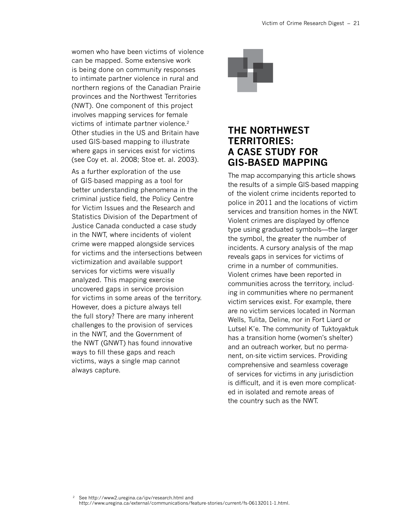women who have been victims of violence can be mapped. Some extensive work is being done on community responses to intimate partner violence in rural and northern regions of the Canadian Prairie provinces and the Northwest Territories (NWT). One component of this project involves mapping services for female victims of intimate partner violence.2 Other studies in the US and Britain have used GIS-based mapping to illustrate where gaps in services exist for victims (see Coy et. al. 2008; Stoe et. al. 2003).

As a further exploration of the use of GIS-based mapping as a tool for better understanding phenomena in the criminal justice field, the Policy Centre for Victim Issues and the Research and Statistics Division of the Department of Justice Canada conducted a case study in the NWT, where incidents of violent crime were mapped alongside services for victims and the intersections between victimization and available support services for victims were visually analyzed. This mapping exercise uncovered gaps in service provision for victims in some areas of the territory. However, does a picture always tell the full story? There are many inherent challenges to the provision of services in the NWT, and the Government of the NWT (GNWT) has found innovative ways to fill these gaps and reach victims, ways a single map cannot always capture.



# **The Northwest Territories: A Case Study for GIS-Based Mapping**

The map accompanying this article shows the results of a simple GIS-based mapping of the violent crime incidents reported to police in 2011 and the locations of victim services and transition homes in the NWT. Violent crimes are displayed by offence type using graduated symbols—the larger the symbol, the greater the number of incidents. A cursory analysis of the map reveals gaps in services for victims of crime in a number of communities. Violent crimes have been reported in communities across the territory, including in communities where no permanent victim services exist. For example, there are no victim services located in Norman Wells, Tulita, Deline, nor in Fort Liard or Lutsel K'e. The community of Tuktoyaktuk has a transition home (women's shelter) and an outreach worker, but no permanent, on-site victim services. Providing comprehensive and seamless coverage of services for victims in any jurisdiction is difficult, and it is even more complicated in isolated and remote areas of the country such as the NWT.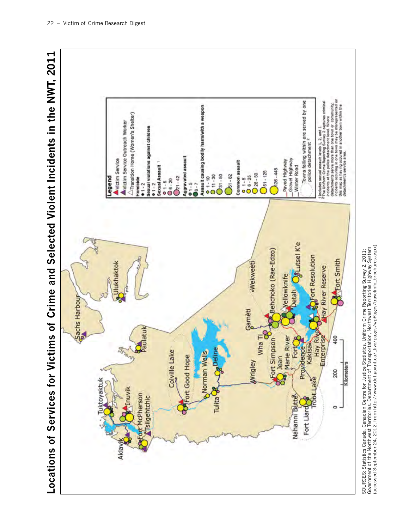

SOURCES: Statistics Canada, Canadian Centre for Justice Statistics, Uniform Crime Reporting Survey 2, 2011;<br>Government of the Northwest Territories, Department of Transportation, Northwest Territories Highway System<br>(acces (accessed September 24, 2012, from [http://www.dot.gov.nt.ca/\\_live/pages/wpPages/travelinfo\\_brochures.aspx]( http://www.dot.gov.nt.ca/_live/pages/wpPages/travelinfo_brochures.aspx)).Government of the Northwest Territories, Department of Transportation, Northwest Territories Highway System SOURCES: Statistics Canada, Canadian Centre for Justice Statistics, Uniform Crime Reporting Survey 2, 2011;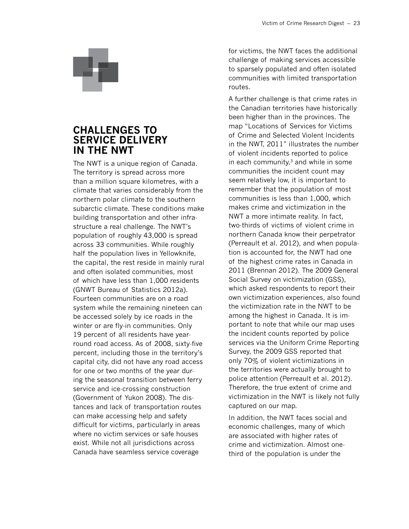# **Challenges to Service Delivery in the NWT**

The NWT is a unique region of Canada. The territory is spread across more than a million square kilometres, with a climate that varies considerably from the northern polar climate to the southern subarctic climate. These conditions make building transportation and other infrastructure a real challenge. The NWT's population of roughly 43,000 is spread across 33 communities. While roughly half the population lives in Yellowknife, the capital, the rest reside in mainly rural and often isolated communities, most of which have less than 1,000 residents (GNWT Bureau of Statistics 2012a). Fourteen communities are on a road system while the remaining nineteen can be accessed solely by ice roads in the winter or are fly-in communities. Only 19 percent of all residents have yearround road access. As of 2008, sixty-five percent, including those in the territory's capital city, did not have any road access for one or two months of the year during the seasonal transition between ferry service and ice-crossing construction (Government of Yukon 2008). The distances and lack of transportation routes can make accessing help and safety difficult for victims, particularly in areas where no victim services or safe houses exist. While not all jurisdictions across Canada have seamless service coverage

for victims, the NWT faces the additional challenge of making services accessible to sparsely populated and often isolated communities with limited transportation routes.

A further challenge is that crime rates in the Canadian territories have historically been higher than in the provinces. The map "Locations of Services for Victims of Crime and Selected Violent Incidents in the NWT, 2011" illustrates the number of violent incidents reported to police in each community, $3$  and while in some communities the incident count may seem relatively low, it is important to remember that the population of most communities is less than 1,000, which makes crime and victimization in the NWT a more intimate reality. In fact, two-thirds of victims of violent crime in northern Canada know their perpetrator (Perreault et al. 2012), and when population is accounted for, the NWT had one of the highest crime rates in Canada in 2011 (Brennan 2012). The 2009 General Social Survey on victimization (GSS), which asked respondents to report their own victimization experiences, also found the victimization rate in the NWT to be among the highest in Canada. It is important to note that while our map uses the incident counts reported by police services via the Uniform Crime Reporting Survey, the 2009 GSS reported that only 70% of violent victimizations in the territories were actually brought to police attention (Perreault et al. 2012). Therefore, the true extent of crime and victimization in the NWT is likely not fully captured on our map.

In addition, the NWT faces social and economic challenges, many of which are associated with higher rates of crime and victimization. Almost onethird of the population is under the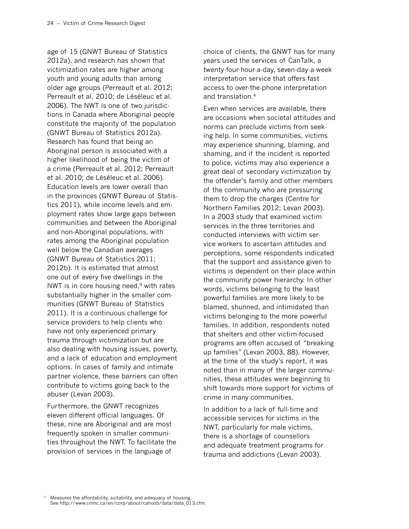age of 15 (GNWT Bureau of Statistics 2012a), and research has shown that victimization rates are higher among youth and young adults than among older age groups (Perreault et al. 2012; Perreault et al. 2010; de Léséleuc et al. 2006). The NWT is one of two jurisdictions in Canada where Aboriginal people constitute the majority of the population (GNWT Bureau of Statistics 2012a). Research has found that being an Aboriginal person is associated with a higher likelihood of being the victim of a crime (Perreault et al. 2012; Perreault et al. 2010; de Léséleuc et al. 2006). Education levels are lower overall than in the provinces (GNWT Bureau of Statistics 2011), while income levels and employment rates show large gaps between communities and between the Aboriginal and non-Aboriginal populations, with rates among the Aboriginal population well below the Canadian averages (GNWT Bureau of Statistics 2011; 2012b). It is estimated that almost one out of every five dwellings in the NWT is in core housing need,<sup>9</sup> with rates substantially higher in the smaller communities (GNWT Bureau of Statistics 2011). It is a continuous challenge for service providers to help clients who have not only experienced primary trauma through victimization but are also dealing with housing issues, poverty, and a lack of education and employment options. In cases of family and intimate partner violence, these barriers can often contribute to victims going back to the abuser (Levan 2003).

Furthermore, the GNWT recognizes eleven different official languages. Of these, nine are Aboriginal and are most frequently spoken in smaller communities throughout the NWT. To facilitate the provision of services in the language of

choice of clients, the GNWT has for many years used the services of CanTalk, a twenty-four-hour-a-day, seven-day-a-week interpretation service that offers fast access to over-the-phone interpretation and translation.4

Even when services are available, there are occasions when societal attitudes and norms can preclude victims from seeking help. In some communities, victims may experience shunning, blaming, and shaming, and if the incident is reported to police, victims may also experience a great deal of secondary victimization by the offender's family and other members of the community who are pressuring them to drop the charges (Centre for Northern Families 2012; Levan 2003). In a 2003 study that examined victim services in the three territories and conducted interviews with victim service workers to ascertain attitudes and perceptions, some respondents indicated that the support and assistance given to victims is dependent on their place within the community power hierarchy. In other words, victims belonging to the least powerful families are more likely to be blamed, shunned, and intimidated than victims belonging to the more powerful families. In addition, respondents noted that shelters and other victim-focused programs are often accused of "breaking up families" (Levan 2003, 88). However, at the time of the study's report, it was noted than in many of the larger communities, these attitudes were beginning to shift towards more support for victims of crime in many communities.

In addition to a lack of full-time and accessible services for victims in the NWT, particularly for male victims, there is a shortage of counsellors and adequate treatment programs for trauma and addictions (Levan 2003).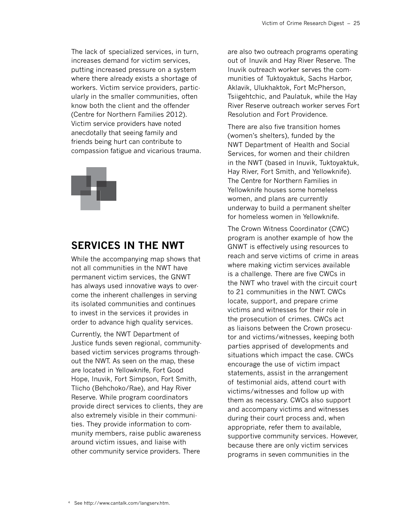The lack of specialized services, in turn, increases demand for victim services, putting increased pressure on a system where there already exists a shortage of workers. Victim service providers, particularly in the smaller communities, often know both the client and the offender (Centre for Northern Families 2012). Victim service providers have noted anecdotally that seeing family and friends being hurt can contribute to compassion fatigue and vicarious trauma.



# **Services in the NWT**

While the accompanying map shows that not all communities in the NWT have permanent victim services, the GNWT has always used innovative ways to overcome the inherent challenges in serving its isolated communities and continues to invest in the services it provides in order to advance high quality services.

Currently, the NWT Department of Justice funds seven regional, communitybased victim services programs throughout the NWT. As seen on the map, these are located in Yellowknife, Fort Good Hope, Inuvik, Fort Simpson, Fort Smith, Tlicho (Behchoko/Rae), and Hay River Reserve. While program coordinators provide direct services to clients, they are also extremely visible in their communities. They provide information to community members, raise public awareness around victim issues, and liaise with other community service providers. There

are also two outreach programs operating out of Inuvik and Hay River Reserve. The Inuvik outreach worker serves the communities of Tuktoyaktuk, Sachs Harbor, Aklavik, Ulukhaktok, Fort McPherson, Tsiigehtchic, and Paulatuk, while the Hay River Reserve outreach worker serves Fort Resolution and Fort Providence.

There are also five transition homes (women's shelters), funded by the NWT Department of Health and Social Services, for women and their children in the NWT (based in Inuvik, Tuktoyaktuk, Hay River, Fort Smith, and Yellowknife). The Centre for Northern Families in Yellowknife houses some homeless women, and plans are currently underway to build a permanent shelter for homeless women in Yellowknife.

The Crown Witness Coordinator (CWC) program is another example of how the GNWT is effectively using resources to reach and serve victims of crime in areas where making victim services available is a challenge. There are five CWCs in the NWT who travel with the circuit court to 21 communities in the NWT. CWCs locate, support, and prepare crime victims and witnesses for their role in the prosecution of crimes. CWCs act as liaisons between the Crown prosecutor and victims/witnesses, keeping both parties apprised of developments and situations which impact the case. CWCs encourage the use of victim impact statements, assist in the arrangement of testimonial aids, attend court with victims/witnesses and follow up with them as necessary. CWCs also support and accompany victims and witnesses during their court process and, when appropriate, refer them to available, supportive community services. However, because there are only victim services programs in seven communities in the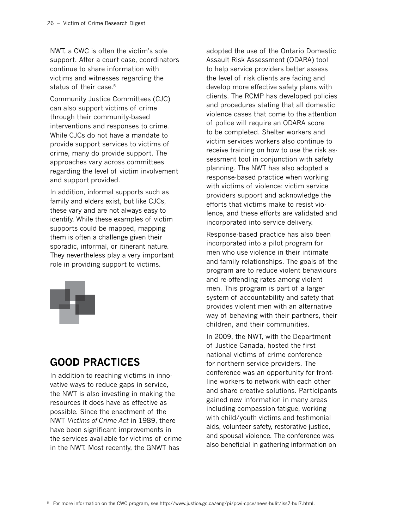NWT, a CWC is often the victim's sole support. After a court case, coordinators continue to share information with victims and witnesses regarding the status of their case.<sup>5</sup>

Community Justice Committees (CJC) can also support victims of crime through their community-based interventions and responses to crime. While CJCs do not have a mandate to provide support services to victims of crime, many do provide support. The approaches vary across committees regarding the level of victim involvement and support provided.

In addition, informal supports such as family and elders exist, but like CJCs, these vary and are not always easy to identify. While these examples of victim supports could be mapped, mapping them is often a challenge given their sporadic, informal, or itinerant nature. They nevertheless play a very important role in providing support to victims.



# **Good Practices**

In addition to reaching victims in innovative ways to reduce gaps in service, the NWT is also investing in making the resources it does have as effective as possible. Since the enactment of the NWT *Victims of Crime Act* in 1989, there have been significant improvements in the services available for victims of crime in the NWT. Most recently, the GNWT has

adopted the use of the Ontario Domestic Assault Risk Assessment (ODARA) tool to help service providers better assess the level of risk clients are facing and develop more effective safety plans with clients. The RCMP has developed policies and procedures stating that all domestic violence cases that come to the attention of police will require an ODARA score to be completed. Shelter workers and victim services workers also continue to receive training on how to use the risk assessment tool in conjunction with safety planning. The NWT has also adopted a response-based practice when working with victims of violence: victim service providers support and acknowledge the efforts that victims make to resist violence, and these efforts are validated and incorporated into service delivery.

Response-based practice has also been incorporated into a pilot program for men who use violence in their intimate and family relationships. The goals of the program are to reduce violent behaviours and re-offending rates among violent men. This program is part of a larger system of accountability and safety that provides violent men with an alternative way of behaving with their partners, their children, and their communities.

In 2009, the NWT, with the Department of Justice Canada, hosted the first national victims of crime conference for northern service providers. The conference was an opportunity for frontline workers to network with each other and share creative solutions. Participants gained new information in many areas including compassion fatigue, working with child/youth victims and testimonial aids, volunteer safety, restorative justice, and spousal violence. The conference was also beneficial in gathering information on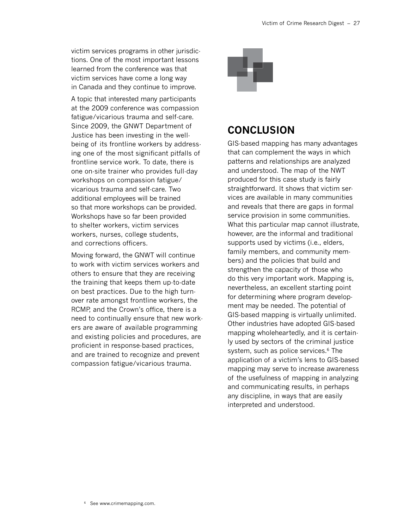victim services programs in other jurisdictions. One of the most important lessons learned from the conference was that victim services have come a long way in Canada and they continue to improve.

A topic that interested many participants at the 2009 conference was compassion fatigue/vicarious trauma and self-care. Since 2009, the GNWT Department of Justice has been investing in the wellbeing of its frontline workers by addressing one of the most significant pitfalls of frontline service work. To date, there is one on-site trainer who provides full-day workshops on compassion fatigue/ vicarious trauma and self-care. Two additional employees will be trained so that more workshops can be provided. Workshops have so far been provided to shelter workers, victim services workers, nurses, college students, and corrections officers.

Moving forward, the GNWT will continue to work with victim services workers and others to ensure that they are receiving the training that keeps them up-to-date on best practices. Due to the high turnover rate amongst frontline workers, the RCMP, and the Crown's office, there is a need to continually ensure that new workers are aware of available programming and existing policies and procedures, are proficient in response-based practices, and are trained to recognize and prevent compassion fatigue/vicarious trauma.



# **Conclusion**

GIS-based mapping has many advantages that can complement the ways in which patterns and relationships are analyzed and understood. The map of the NWT produced for this case study is fairly straightforward. It shows that victim services are available in many communities and reveals that there are gaps in formal service provision in some communities. What this particular map cannot illustrate, however, are the informal and traditional supports used by victims (i.e., elders, family members, and community members) and the policies that build and strengthen the capacity of those who do this very important work. Mapping is, nevertheless, an excellent starting point for determining where program development may be needed. The potential of GIS-based mapping is virtually unlimited. Other industries have adopted GIS-based mapping wholeheartedly, and it is certainly used by sectors of the criminal justice system, such as police services.<sup>6</sup> The application of a victim's lens to GIS-based mapping may serve to increase awareness of the usefulness of mapping in analyzing and communicating results, in perhaps any discipline, in ways that are easily interpreted and understood.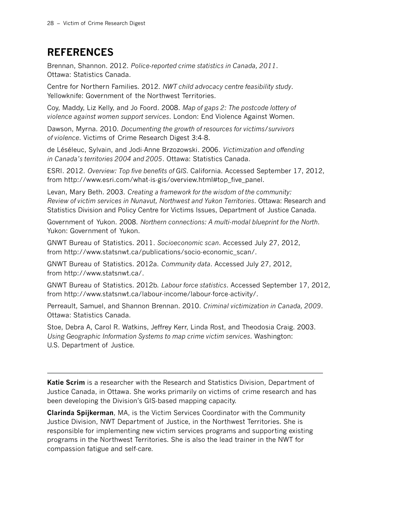# **References**

Brennan, Shannon. 2012. *Police-reported crime statistics in Canada, 2011*. Ottawa: Statistics Canada.

Centre for Northern Families. 2012. *NWT child advocacy centre feasibility study*. Yellowknife: Government of the Northwest Territories.

Coy, Maddy, Liz Kelly, and Jo Foord. 2008. *Map of gaps 2: The postcode lottery of violence against women support services*. London: End Violence Against Women.

Dawson, Myrna. 2010. *Documenting the growth of resources for victims/survivors of violence*. Victims of Crime Research Digest 3:4-8.

de Léséleuc, Sylvain, and Jodi-Anne Brzozowski. 2006. *Victimization and offending in Canada's territories 2004 and 2005*. Ottawa: Statistics Canada.

ESRI. 2012. *Overview: Top five benefits of GIS*. California. Accessed September 17, 2012, from http://www.esri.com/what-is-gis/overview.html#top\_five\_panel.

Levan, Mary Beth. 2003. *Creating a framework for the wisdom of the community: Review of victim services in Nunavut, Northwest and Yukon Territories*. Ottawa: Research and Statistics Division and Policy Centre for Victims Issues, Department of Justice Canada.

Government of Yukon. 2008. *Northern connections: A multi-modal blueprint for the North*. Yukon: Government of Yukon.

GNWT Bureau of Statistics. 2011. *Socioeconomic scan*. Accessed July 27, 2012, from http://www.statsnwt.ca/publications/socio-economic\_scan/.

GNWT Bureau of Statistics. 2012a. *Community data*. Accessed July 27, 2012, from http://www.statsnwt.ca/.

GNWT Bureau of Statistics. 2012b. *Labour force statistics*. Accessed September 17, 2012, from http://www.statsnwt.ca/labour-income/labour-force-activity/.

Perreault, Samuel, and Shannon Brennan. 2010. *Criminal victimization in Canada, 2009*. Ottawa: Statistics Canada.

Stoe, Debra A, Carol R. Watkins, Jeffrey Kerr, Linda Rost, and Theodosia Craig. 2003. *Using Geographic Information Systems to map crime victim services*. Washington: U.S. Department of Justice.

**Katie Scrim** is a researcher with the Research and Statistics Division, Department of Justice Canada, in Ottawa. She works primarily on victims of crime research and has been developing the Division's GIS-based mapping capacity.

**Clarinda Spijkerman**, MA, is the Victim Services Coordinator with the Community Justice Division, NWT Department of Justice, in the Northwest Territories. She is responsible for implementing new victim services programs and supporting existing programs in the Northwest Territories. She is also the lead trainer in the NWT for compassion fatigue and self-care.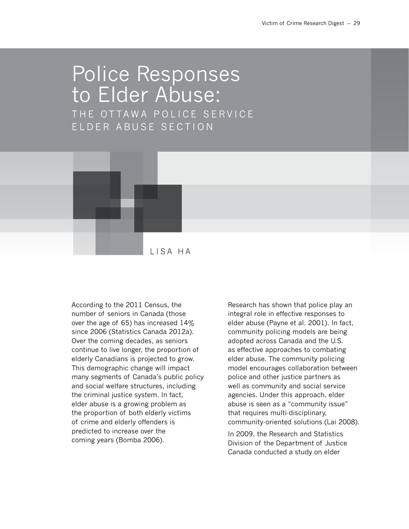# Police Responses to Elder Abuse: THE OTTAWA POLICE SERVICE ELDER ABUSE SECTION



According to the 2011 Census, the number of seniors in Canada (those over the age of 65) has increased 14% since 2006 (Statistics Canada 2012a). Over the coming decades, as seniors continue to live longer, the proportion of elderly Canadians is projected to grow. This demographic change will impact many segments of Canada's public policy and social welfare structures, including the criminal justice system. In fact, elder abuse is a growing problem as the proportion of both elderly victims of crime and elderly offenders is predicted to increase over the coming years (Bomba 2006).

Research has shown that police play an integral role in effective responses to elder abuse (Payne et al. 2001). In fact, community policing models are being adopted across Canada and the U.S. as effective approaches to combating elder abuse. The community policing model encourages collaboration between police and other justice partners as well as community and social service agencies. Under this approach, elder abuse is seen as a "community issue" that requires multi-disciplinary, community-oriented solutions (Lai 2008).

In 2009, the Research and Statistics Division of the Department of Justice Canada conducted a study on elder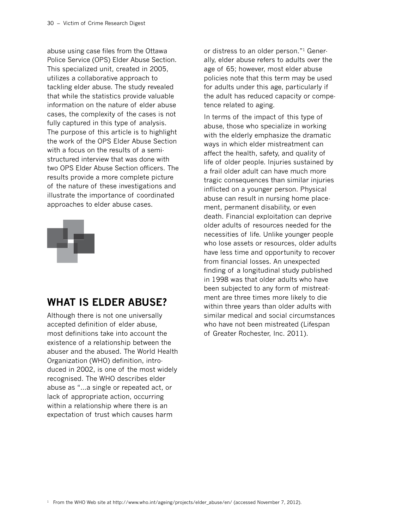abuse using case files from the Ottawa Police Service (OPS) Elder Abuse Section. This specialized unit, created in 2005, utilizes a collaborative approach to tackling elder abuse. The study revealed that while the statistics provide valuable information on the nature of elder abuse cases, the complexity of the cases is not fully captured in this type of analysis. The purpose of this article is to highlight the work of the OPS Elder Abuse Section with a focus on the results of a semistructured interview that was done with two OPS Elder Abuse Section officers. The results provide a more complete picture of the nature of these investigations and illustrate the importance of coordinated approaches to elder abuse cases.



# **What is Elder Abuse?**

Although there is not one universally accepted definition of elder abuse, most definitions take into account the existence of a relationship between the abuser and the abused. The World Health Organization (WHO) definition, introduced in 2002, is one of the most widely recognised. The WHO describes elder abuse as "…a single or repeated act, or lack of appropriate action, occurring within a relationship where there is an expectation of trust which causes harm

or distress to an older person."1 Generally, elder abuse refers to adults over the age of 65; however, most elder abuse policies note that this term may be used for adults under this age, particularly if the adult has reduced capacity or competence related to aging.

In terms of the impact of this type of abuse, those who specialize in working with the elderly emphasize the dramatic ways in which elder mistreatment can affect the health, safety, and quality of life of older people. Injuries sustained by a frail older adult can have much more tragic consequences than similar injuries inflicted on a younger person. Physical abuse can result in nursing home placement, permanent disability, or even death. Financial exploitation can deprive older adults of resources needed for the necessities of life. Unlike younger people who lose assets or resources, older adults have less time and opportunity to recover from financial losses. An unexpected finding of a longitudinal study published in 1998 was that older adults who have been subjected to any form of mistreatment are three times more likely to die within three years than older adults with similar medical and social circumstances who have not been mistreated (Lifespan of Greater Rochester, Inc. 2011).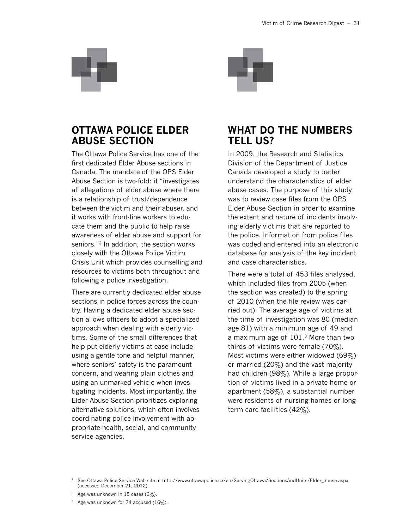

# **Ottawa Police Elder Abuse Section**

The Ottawa Police Service has one of the first dedicated Elder Abuse sections in Canada. The mandate of the OPS Elder Abuse Section is two-fold: it "investigates all allegations of elder abuse where there is a relationship of trust/dependence between the victim and their abuser, and it works with front-line workers to educate them and the public to help raise awareness of elder abuse and support for seniors."2 In addition, the section works closely with the Ottawa Police Victim Crisis Unit which provides counselling and resources to victims both throughout and following a police investigation.

There are currently dedicated elder abuse sections in police forces across the country. Having a dedicated elder abuse section allows officers to adopt a specialized approach when dealing with elderly victims. Some of the small differences that help put elderly victims at ease include using a gentle tone and helpful manner, where seniors' safety is the paramount concern, and wearing plain clothes and using an unmarked vehicle when investigating incidents. Most importantly, the Elder Abuse Section prioritizes exploring alternative solutions, which often involves coordinating police involvement with appropriate health, social, and community service agencies.



# **What Do the Numbers Tell Us?**

In 2009, the Research and Statistics Division of the Department of Justice Canada developed a study to better understand the characteristics of elder abuse cases. The purpose of this study was to review case files from the OPS Elder Abuse Section in order to examine the extent and nature of incidents involving elderly victims that are reported to the police. Information from police files was coded and entered into an electronic database for analysis of the key incident and case characteristics.

There were a total of 453 files analysed, which included files from 2005 (when the section was created) to the spring of 2010 (when the file review was carried out). The average age of victims at the time of investigation was 80 (median age 81) with a minimum age of 49 and a maximum age of 101.3 More than two thirds of victims were female (70%). Most victims were either widowed (69%) or married (20%) and the vast majority had children (98%). While a large proportion of victims lived in a private home or apartment (58%), a substantial number were residents of nursing homes or longterm care facilities (42%).

<sup>2</sup> See Ottawa Police Service Web site at [http://www.ottawapolice.ca/en/ServingOttawa/SectionsAndUnits/Elder\\_abuse.aspx](http://www.ottawapolice.ca/en/ServingOttawa/SectionsAndUnits/Elder_abuse.aspx)  (accessed December 21, 2012).

<sup>3</sup> Age was unknown in 15 cases (3%).

<sup>4</sup> Age was unknown for 74 accused (16%).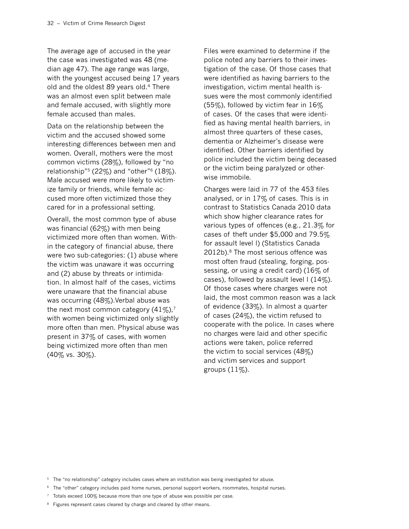The average age of accused in the year the case was investigated was 48 (median age 47). The age range was large, with the youngest accused being 17 years old and the oldest 89 years old.4 There was an almost even split between male and female accused, with slightly more female accused than males.

Data on the relationship between the victim and the accused showed some interesting differences between men and women. Overall, mothers were the most common victims (28%), followed by "no relationship"<sup>5</sup> (22%) and "other"<sup>6</sup> (18%). Male accused were more likely to victimize family or friends, while female accused more often victimized those they cared for in a professional setting.

Overall, the most common type of abuse was financial (62%) with men being victimized more often than women. Within the category of financial abuse, there were two sub-categories: (1) abuse where the victim was unaware it was occurring and (2) abuse by threats or intimidation. In almost half of the cases, victims were unaware that the financial abuse was occurring (48%). Verbal abuse was the next most common category  $(41\%)$ ,<sup>7</sup> with women being victimized only slightly more often than men. Physical abuse was present in 37% of cases, with women being victimized more often than men (40% vs. 30%).

Files were examined to determine if the police noted any barriers to their investigation of the case. Of those cases that were identified as having barriers to the investigation, victim mental health issues were the most commonly identified (55%), followed by victim fear in  $16\%$ of cases. Of the cases that were identified as having mental health barriers, in almost three quarters of these cases, dementia or Alzheimer's disease were identified. Other barriers identified by police included the victim being deceased or the victim being paralyzed or otherwise immobile.

Charges were laid in 77 of the 453 files analysed, or in 17% of cases. This is in contrast to Statistics Canada 2010 data which show higher clearance rates for various types of offences (e.g., 21.3% for cases of theft under \$5,000 and 79.5% for assault level I) (Statistics Canada 2012b).8 The most serious offence was most often fraud (stealing, forging, possessing, or using a credit card) (16% of cases), followed by assault level  $(14\%)$ . Of those cases where charges were not laid, the most common reason was a lack of evidence (33%). In almost a quarter of cases (24%), the victim refused to cooperate with the police. In cases where no charges were laid and other specific actions were taken, police referred the victim to social services (48%) and victim services and support groups  $(11\%)$ .

- <sup>5</sup> The "no relationship" category includes cases where an institution was being investigated for abuse.
- <sup>6</sup> The "other" category includes paid home nurses, personal support workers, roommates, hospital nurses.
- <sup>7</sup> Totals exceed 100% because more than one type of abuse was possible per case.
- <sup>8</sup> Figures represent cases cleared by charge and cleared by other means.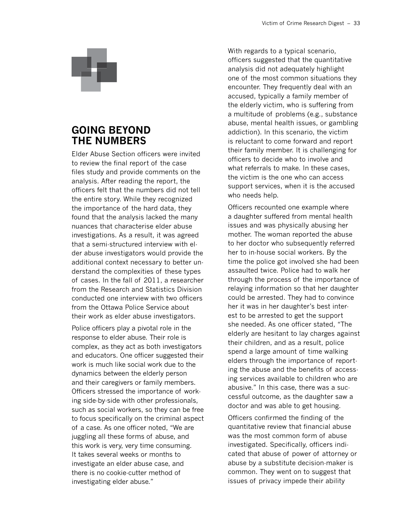

# **Going Beyond the Numbers**

Elder Abuse Section officers were invited to review the final report of the case files study and provide comments on the analysis. After reading the report, the officers felt that the numbers did not tell the entire story. While they recognized the importance of the hard data, they found that the analysis lacked the many nuances that characterise elder abuse investigations. As a result, it was agreed that a semi-structured interview with elder abuse investigators would provide the additional context necessary to better understand the complexities of these types of cases. In the fall of 2011, a researcher from the Research and Statistics Division conducted one interview with two officers from the Ottawa Police Service about their work as elder abuse investigators.

Police officers play a pivotal role in the response to elder abuse. Their role is complex, as they act as both investigators and educators. One officer suggested their work is much like social work due to the dynamics between the elderly person and their caregivers or family members. Officers stressed the importance of working side-by-side with other professionals, such as social workers, so they can be free to focus specifically on the criminal aspect of a case. As one officer noted, "We are juggling all these forms of abuse, and this work is very, very time consuming. It takes several weeks or months to investigate an elder abuse case, and there is no cookie-cutter method of investigating elder abuse."

With regards to a typical scenario, officers suggested that the quantitative analysis did not adequately highlight one of the most common situations they encounter. They frequently deal with an accused, typically a family member of the elderly victim, who is suffering from a multitude of problems (e.g., substance abuse, mental health issues, or gambling addiction). In this scenario, the victim is reluctant to come forward and report their family member. It is challenging for officers to decide who to involve and what referrals to make. In these cases, the victim is the one who can access support services, when it is the accused who needs help.

Officers recounted one example where a daughter suffered from mental health issues and was physically abusing her mother. The woman reported the abuse to her doctor who subsequently referred her to in-house social workers. By the time the police got involved she had been assaulted twice. Police had to walk her through the process of the importance of relaying information so that her daughter could be arrested. They had to convince her it was in her daughter's best interest to be arrested to get the support she needed. As one officer stated, "The elderly are hesitant to lay charges against their children, and as a result, police spend a large amount of time walking elders through the importance of reporting the abuse and the benefits of accessing services available to children who are abusive." In this case, there was a successful outcome, as the daughter saw a doctor and was able to get housing.

Officers confirmed the finding of the quantitative review that financial abuse was the most common form of abuse investigated. Specifically, officers indicated that abuse of power of attorney or abuse by a substitute decision-maker is common. They went on to suggest that issues of privacy impede their ability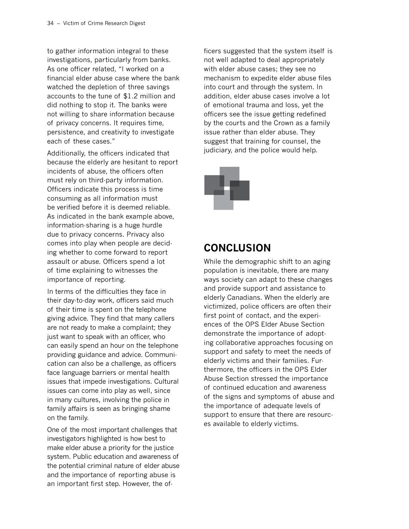to gather information integral to these investigations, particularly from banks. As one officer related, "I worked on a financial elder abuse case where the bank watched the depletion of three savings accounts to the tune of \$1.2 million and did nothing to stop it. The banks were not willing to share information because of privacy concerns. It requires time, persistence, and creativity to investigate each of these cases."

Additionally, the officers indicated that because the elderly are hesitant to report incidents of abuse, the officers often must rely on third-party information. Officers indicate this process is time consuming as all information must be verified before it is deemed reliable. As indicated in the bank example above, information-sharing is a huge hurdle due to privacy concerns. Privacy also comes into play when people are deciding whether to come forward to report assault or abuse. Officers spend a lot of time explaining to witnesses the importance of reporting.

In terms of the difficulties they face in their day-to-day work, officers said much of their time is spent on the telephone giving advice. They find that many callers are not ready to make a complaint; they just want to speak with an officer, who can easily spend an hour on the telephone providing guidance and advice. Communication can also be a challenge, as officers face language barriers or mental health issues that impede investigations. Cultural issues can come into play as well, since in many cultures, involving the police in family affairs is seen as bringing shame on the family.

One of the most important challenges that investigators highlighted is how best to make elder abuse a priority for the justice system. Public education and awareness of the potential criminal nature of elder abuse and the importance of reporting abuse is an important first step. However, the officers suggested that the system itself is not well adapted to deal appropriately with elder abuse cases; they see no mechanism to expedite elder abuse files into court and through the system. In addition, elder abuse cases involve a lot of emotional trauma and loss, yet the officers see the issue getting redefined by the courts and the Crown as a family issue rather than elder abuse. They suggest that training for counsel, the judiciary, and the police would help.



# **Conclusion**

While the demographic shift to an aging population is inevitable, there are many ways society can adapt to these changes and provide support and assistance to elderly Canadians. When the elderly are victimized, police officers are often their first point of contact, and the experiences of the OPS Elder Abuse Section demonstrate the importance of adopting collaborative approaches focusing on support and safety to meet the needs of elderly victims and their families. Furthermore, the officers in the OPS Elder Abuse Section stressed the importance of continued education and awareness of the signs and symptoms of abuse and the importance of adequate levels of support to ensure that there are resources available to elderly victims.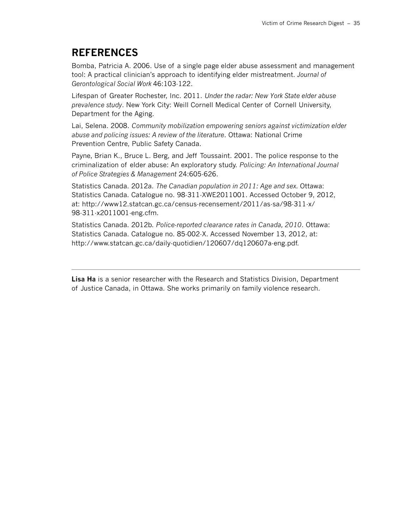# **References**

Bomba, Patricia A. 2006. Use of a single page elder abuse assessment and management tool: A practical clinician's approach to identifying elder mistreatment. *Journal of Gerontological Social Work* 46:103-122.

Lifespan of Greater Rochester, Inc. 2011. *Under the radar: New York State elder abuse prevalence study*. New York City: Weill Cornell Medical Center of Cornell University, Department for the Aging.

Lai, Selena. 2008. *Community mobilization empowering seniors against victimization elder abuse and policing issues: A review of the literature*. Ottawa: National Crime Prevention Centre, Public Safety Canada.

Payne, Brian K., Bruce L. Berg, and Jeff Toussaint. 2001. The police response to the criminalization of elder abuse: An exploratory study. *Policing: An International Journal of Police Strategies & Management* 24:605-626.

Statistics Canada. 2012a. *The Canadian population in 2011: Age and sex.* Ottawa: Statistics Canada. Catalogue no. 98-311-XWE2011001. Accessed October 9, 2012, at: [http://www12.statcan.gc.ca/census-recensement/2011/as-sa/98-311-x/](http://www12.statcan.gc.ca/census-recensement/2011/as-sa/98-311-x/98-311-x2011001-eng.cfm)  [98-311-x2011001-eng.cfm.](http://www12.statcan.gc.ca/census-recensement/2011/as-sa/98-311-x/98-311-x2011001-eng.cfm)

Statistics Canada. 2012b. *Police-reported clearance rates in Canada, 2010*. Ottawa: Statistics Canada. Catalogue no. 85-002-X. Accessed November 13, 2012, at: [http://www.statcan.gc.ca/daily-quotidien/120607/dq120607a-eng.pdf.](http://www.statcan.gc.ca/daily-quotidien/120607/dq120607a-eng.pdf)

**Lisa Ha** is a senior researcher with the Research and Statistics Division, Department of Justice Canada, in Ottawa. She works primarily on family violence research.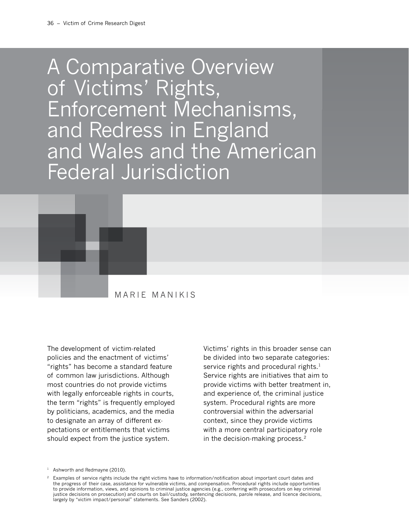# A Comparative Overview of Victims' Rights, Enforcement Mechanisms, and Redress in England and Wales and the American Federal Jurisdiction



The development of victim-related policies and the enactment of victims' "rights" has become a standard feature of common law jurisdictions. Although most countries do not provide victims with legally enforceable rights in courts, the term "rights" is frequently employed by politicians, academics, and the media to designate an array of different expectations or entitlements that victims should expect from the justice system.

Victims' rights in this broader sense can be divided into two separate categories: service rights and procedural rights.<sup>1</sup> Service rights are initiatives that aim to provide victims with better treatment in, and experience of, the criminal justice system. Procedural rights are more controversial within the adversarial context, since they provide victims with a more central participatory role in the decision-making process.<sup>2</sup>

<sup>&</sup>lt;sup>1</sup> Ashworth and Redmayne (2010).

<sup>2</sup> Examples of service rights include the right victims have to information/notification about important court dates and the progress of their case, assistance for vulnerable victims, and compensation. Procedural rights include opportunities to provide information, views, and opinions to criminal justice agencies (e.g., conferring with prosecutors on key criminal justice decisions on prosecution) and courts on bail/custody, sentencing decisions, parole release, and licence decisions, largely by "victim impact/personal" statements. See Sanders (2002).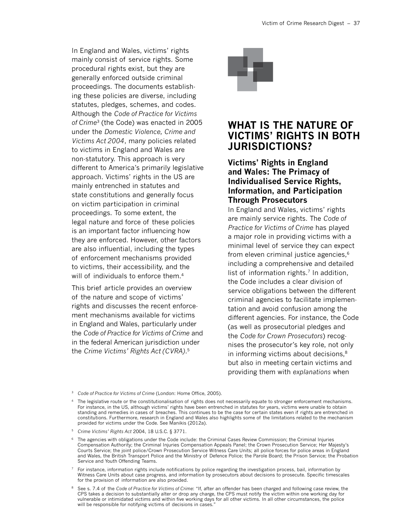In England and Wales, victims' rights mainly consist of service rights. Some procedural rights exist, but they are generally enforced outside criminal proceedings. The documents establishing these policies are diverse, including statutes, pledges, schemes, and codes. Although the *Code of Practice for Victims of Crime*3 (the Code) was enacted in 2005 under the *Domestic Violence, Crime and Victims Act 2004*, many policies related to victims in England and Wales are non-statutory. This approach is very different to America's primarily legislative approach. Victims' rights in the US are mainly entrenched in statutes and state constitutions and generally focus on victim participation in criminal proceedings. To some extent, the legal nature and force of these policies is an important factor influencing how they are enforced. However, other factors are also influential, including the types of enforcement mechanisms provided to victims, their accessibility, and the will of individuals to enforce them.<sup>4</sup>

This brief article provides an overview of the nature and scope of victims' rights and discusses the recent enforcement mechanisms available for victims in England and Wales, particularly under the *Code of Practice for Victims of Crime* and in the federal American jurisdiction under the *Crime Victims' Rights Act (CVRA)*. 5



# **What Is the Nature of Victims' Rights in Both Jurisdictions?**

## **Victims' Rights in England and Wales: The Primacy of Individualised Service Rights, Information, and Participation Through Prosecutors**

In England and Wales, victims' rights are mainly service rights. The *Code of Practice for Victims of Crime* has played a major role in providing victims with a minimal level of service they can expect from eleven criminal justice agencies,<sup>6</sup> including a comprehensive and detailed list of information rights.<sup>7</sup> In addition, the Code includes a clear division of service obligations between the different criminal agencies to facilitate implementation and avoid confusion among the different agencies. For instance, the Code (as well as prosecutorial pledges and the *Code for Crown Prosecutors*) recognises the prosecutor's key role, not only in informing victims about decisions, $8$ but also in meeting certain victims and providing them with *explanations* when

- <sup>7</sup> For instance, information rights include notifications by police regarding the investigation process, bail, information by Witness Care Units about case progress, and information by prosecutors about decisions to prosecute. Specific timescales for the provision of information are also provided.
- <sup>8</sup> See s. 7.4 of the *Code of Practice for Victims of Crime*: "If, after an offender has been charged and following case review, the CPS takes a decision to substantially alter or drop any charge, the CPS must notify the victim within one working day for vulnerable or intimidated victims and within five working days for all other victims. In all other circumstances, the police will be responsible for notifying victims of decisions in cases."

<sup>&</sup>lt;sup>3</sup> Code of Practice for Victims of Crime (London: Home Office, 2005).

<sup>&</sup>lt;sup>4</sup> The legislative route or the constitutionalisation of rights does not necessarily equate to stronger enforcement mechanisms. For instance, in the US, although victims' rights have been entrenched in statutes for years, victims were unable to obtain standing and remedies in cases of breaches. This continues to be the case for certain states even if rights are entrenched in constitutions. Furthermore, research in England and Wales also highlights some of the limitations related to the mechanism provided for victims under the Code. See Manikis (2012a).

<sup>5</sup> *Crime Victims' Rights Act* 2004, 18 U.S.C. § 3771.

<sup>6</sup> The agencies with obligations under the Code include: the Criminal Cases Review Commission; the Criminal Injuries Compensation Authority; the Criminal Injuries Compensation Appeals Panel; the Crown Prosecution Service; Her Majesty's Courts Service; the joint police/Crown Prosecution Service Witness Care Units; all police forces for police areas in England and Wales, the British Transport Police and the Ministry of Defence Police; the Parole Board; the Prison Service; the Probation Service and Youth Offending Teams.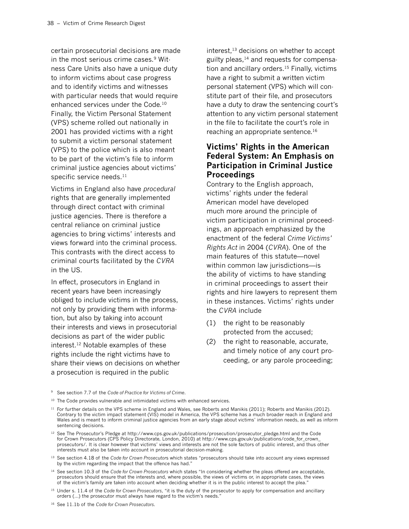certain prosecutorial decisions are made in the most serious crime cases.<sup>9</sup> Witness Care Units also have a unique duty to inform victims about case progress and to identify victims and witnesses with particular needs that would require enhanced services under the Code.10 Finally, the Victim Personal Statement (VPS) scheme rolled out nationally in 2001 has provided victims with a right to submit a victim personal statement (VPS) to the police which is also meant to be part of the victim's file to inform criminal justice agencies about victims' specific service needs.<sup>11</sup>

Victims in England also have *procedural* rights that are generally implemented through direct contact with criminal justice agencies. There is therefore a central reliance on criminal justice agencies to bring victims' interests and views forward into the criminal process. This contrasts with the direct access to criminal courts facilitated by the *CVRA* in the US.

In effect, prosecutors in England in recent years have been increasingly obliged to include victims in the process, not only by providing them with information, but also by taking into account their interests and views in prosecutorial decisions as part of the wider public interest.12 Notable examples of these rights include the right victims have to share their views on decisions on whether a prosecution is required in the public

interest,<sup>13</sup> decisions on whether to accept guilty pleas,<sup>14</sup> and requests for compensation and ancillary orders.<sup>15</sup> Finally, victims have a right to submit a written victim personal statement (VPS) which will constitute part of their file, and prosecutors have a duty to draw the sentencing court's attention to any victim personal statement in the file to facilitate the court's role in reaching an appropriate sentence.<sup>16</sup>

## **Victims' Rights in the American Federal System: An Emphasis on Participation in Criminal Justice Proceedings**

Contrary to the English approach, victims' rights under the federal American model have developed much more around the principle of victim participation in criminal proceedings, an approach emphasized by the enactment of the federal *Crime Victims' Rights Act* in 2004 (*CVRA*). One of the main features of this statute—novel within common law jurisdictions—is the ability of victims to have standing in criminal proceedings to assert their rights and hire lawyers to represent them in these instances. Victims' rights under the *CVRA* include

- (1) the right to be reasonably protected from the accused;
- (2) the right to reasonable, accurate, and timely notice of any court proceeding, or any parole proceeding;
- <sup>9</sup> See section 7.7 of the *Code of Practice for Victims of Crime*.

- <sup>13</sup> See section 4.18 of the *Code for Crown Prosecutor*s which states "prosecutors should take into account any views expressed by the victim regarding the impact that the offence has had."
- <sup>14</sup> See section 10.3 of the *Code for Crown Prosecutors* which states "In considering whether the pleas offered are acceptable, prosecutors should ensure that the interests and, where possible, the views of victims or, in appropriate cases, the views of the victim's family are taken into account when deciding whether it is in the public interest to accept the plea."
- <sup>15</sup> Under s. 11.4 of the *Code for Crown Prosecutors*, "it is the duty of the prosecutor to apply for compensation and ancillary orders (…) the prosecutor must always have regard to the victim's needs."
- <sup>16</sup> See 11.1b of the *Code for Crown Prosecutors*.

<sup>&</sup>lt;sup>10</sup> The Code provides vulnerable and intimidated victims with enhanced services.

<sup>11</sup> For further details on the VPS scheme in England and Wales, see Roberts and Manikis (2011); Roberts and Manikis (2012). Contrary to the victim impact statement (VIS) model in America, the VPS scheme has a much broader reach in England and Wales and is meant to inform criminal justice agencies from an early stage about victims' information needs, as well as inform sentencing decisions.

<sup>&</sup>lt;sup>12</sup> See The Prosecutor's Pledge at [http://www.cps.gov.uk/publications/prosecution/prosecutor\\_pledge.html](http://www.cps.gov.uk/publications/prosecution/prosecutor_pledge.html) and the Code for Crown Prosecutors (CPS Policy Directorate, London, 2010) at [http://www.cps.gov.uk/publications/code\\_for\\_crown\\_](http://www.cps.gov.uk/publications/code_for_crown_prosecutors/)  [prosecutors/](http://www.cps.gov.uk/publications/code_for_crown_prosecutors/). It is clear however that victims' views and interests are not the sole factors of public interest, and thus other interests must also be taken into account in prosecutorial decision-making.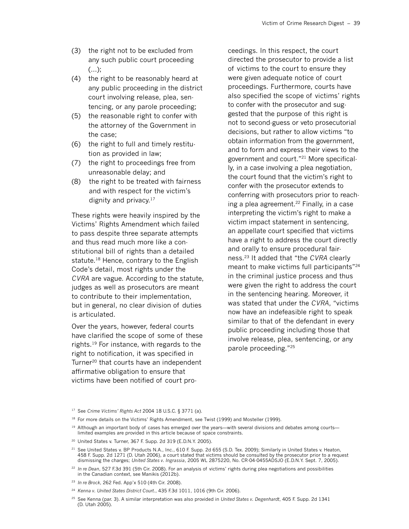- (3) the right not to be excluded from any such public court proceeding  $(\ldots);$
- (4) the right to be reasonably heard at any public proceeding in the district court involving release, plea, sentencing, or any parole proceeding;
- (5) the reasonable right to confer with the attorney of the Government in the case;
- (6) the right to full and timely restitution as provided in law;
- (7) the right to proceedings free from unreasonable delay; and
- (8) the right to be treated with fairness and with respect for the victim's dignity and privacy.17

These rights were heavily inspired by the Victims' Rights Amendment which failed to pass despite three separate attempts and thus read much more like a constitutional bill of rights than a detailed statute.<sup>18</sup> Hence, contrary to the English Code's detail, most rights under the *CVRA* are vague. According to the statute, judges as well as prosecutors are meant to contribute to their implementation, but in general, no clear division of duties is articulated.

Over the years, however, federal courts have clarified the scope of some of these rights.19 For instance, with regards to the right to notification, it was specified in Turner<sup>20</sup> that courts have an independent affirmative obligation to ensure that victims have been notified of court proceedings. In this respect, the court directed the prosecutor to provide a list of victims to the court to ensure they were given adequate notice of court proceedings. Furthermore, courts have also specified the scope of victims' rights to confer with the prosecutor and suggested that the purpose of this right is not to second-guess or veto prosecutorial decisions, but rather to allow victims "to obtain information from the government, and to form and express their views to the government and court."21 More specifically, in a case involving a plea negotiation, the court found that the victim's right to confer with the prosecutor extends to conferring with prosecutors prior to reaching a plea agreement.<sup>22</sup> Finally, in a case interpreting the victim's right to make a victim impact statement in sentencing, an appellate court specified that victims have a right to address the court directly and orally to ensure procedural fairness.23 It added that "the *CVRA* clearly meant to make victims full participants"24 in the criminal justice process and thus were given the right to address the court in the sentencing hearing. Moreover, it was stated that under the *CVRA*, "victims now have an indefeasible right to speak similar to that of the defendant in every public proceeding including those that involve release, plea, sentencing, or any parole proceeding."25

<sup>25</sup> See Kenna (par. 3). A similar interpretation was also provided in *United States v. Degenhardt*, 405 F. Supp. 2d 1341 (D. Utah 2005).

<sup>17</sup> See *Crime Victims' Rights Act* 2004 18 U.S.C. § 3771 (a).

<sup>&</sup>lt;sup>18</sup> For more details on the Victims' Rights Amendment, see Twist (1999) and Mosteller (1999).

 $19$  Although an important body of cases has emerged over the years—with several divisions and debates among courts limited examples are provided in this article because of space constraints.

<sup>20</sup> United States v. Turner, 367 F. Supp. 2d 319 (E.D.N.Y. 2005).

<sup>&</sup>lt;sup>21</sup> See United States v. BP Products N.A., Inc., 610 F. Supp. 2d 655 (S.D. Tex. 2009); Similarly in United States v. Heaton, 458 F. Supp. 2d 1271 (D. Utah 2006), a court stated that victims should be consulted by the prosecutor prior to a request dismissing the charges; *United States v. Ingrassia*, 2005 WL 2875220, No. CR-04-0455ADSJO (E.D.N.Y. Sept. 7, 2005).

<sup>22</sup> *In re Dean*, 527 F.3d 391 (5th Cir. 2008). For an analysis of victims' rights during plea negotiations and possibilities in the Canadian context, see Manikis (2012b).

<sup>23</sup> *In re Brock*, 262 Fed. App'x 510 (4th Cir. 2008).

<sup>24</sup> *Kenna v. United States District Court*., 435 F.3d 1011, 1016 (9th Cir. 2006).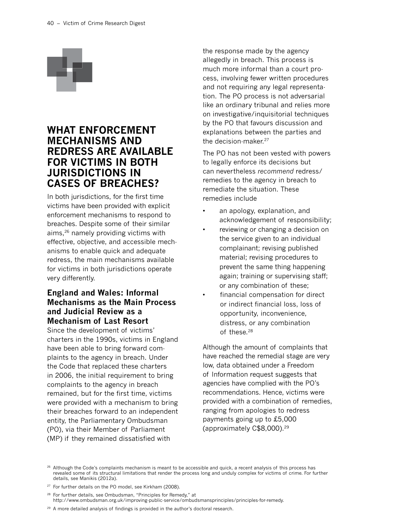

# **What Enforcement Mechanisms and Redress Are Available for Victims in Both Jurisdictions in Cases of Breaches?**

In both jurisdictions, for the first time victims have been provided with explicit enforcement mechanisms to respond to breaches. Despite some of their similar aims,26 namely providing victims with effective, objective, and accessible mechanisms to enable quick and adequate redress, the main mechanisms available for victims in both jurisdictions operate very differently.

## **England and Wales: Informal Mechanisms as the Main Process and Judicial Review as a Mechanism of Last Resort**

Since the development of victims' charters in the 1990s, victims in England have been able to bring forward complaints to the agency in breach. Under the Code that replaced these charters in 2006, the initial requirement to bring complaints to the agency in breach remained, but for the first time, victims were provided with a mechanism to bring their breaches forward to an independent entity, the Parliamentary Ombudsman (PO), via their Member of Parliament (MP) if they remained dissatisfied with

the response made by the agency allegedly in breach. This process is much more informal than a court process, involving fewer written procedures and not requiring any legal representation. The PO process is not adversarial like an ordinary tribunal and relies more on investigative/inquisitorial techniques by the PO that favours discussion and explanations between the parties and the decision-maker.27

The PO has not been vested with powers to legally enforce its decisions but can nevertheless *recommend* redress/ remedies to the agency in breach to remediate the situation. These remedies include

- an apology, explanation, and acknowledgement of responsibility;
- reviewing or changing a decision on the service given to an individual complainant; revising published material; revising procedures to prevent the same thing happening again; training or supervising staff; or any combination of these;
- financial compensation for direct or indirect financial loss, loss of opportunity, inconvenience, distress, or any combination of these.28

Although the amount of complaints that have reached the remedial stage are very low, data obtained under a Freedom of Information request suggests that agencies have complied with the PO's recommendations. Hence, victims were provided with a combination of remedies, ranging from apologies to redress payments going up to £5,000 (approximately C\$8,000).29

<sup>26</sup> Although the Code's complaints mechanism is meant to be accessible and quick, a recent analysis of this process has revealed some of its structural limitations that render the process long and unduly complex for victims of crime. For further details, see Manikis (2012a).

<sup>28</sup> For further details, see Ombudsman, "Principles for Remedy," at <http://www.ombudsman.org.uk/improving-public-service/ombudsmansprinciples/principles-for-remedy>.

<sup>29</sup> A more detailed analysis of findings is provided in the author's doctoral research.

<sup>&</sup>lt;sup>27</sup> For further details on the PO model, see Kirkham (2008).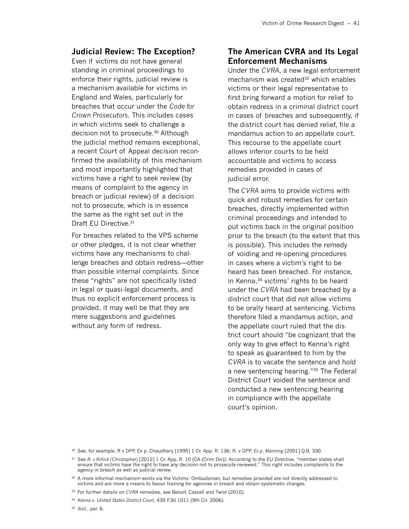#### **Judicial Review: The Exception?**

Even if victims do not have general standing in criminal proceedings to enforce their rights, judicial review is a mechanism available for victims in England and Wales, particularly for breaches that occur under the *Code for Crown Prosecutors*. This includes cases in which victims seek to challenge a decision not to prosecute.<sup>30</sup> Although the judicial method remains exceptional, a recent Court of Appeal decision reconfirmed the availability of this mechanism and most importantly highlighted that victims have a right to seek review (by means of complaint to the agency in breach or judicial review) of a decision not to prosecute, which is in essence the same as the right set out in the Draft EU Directive.<sup>31</sup>

For breaches related to the VPS scheme or other pledges, it is not clear whether victims have any mechanisms to challenge breaches and obtain redress—other than possible internal complaints. Since these "rights" are not specifically listed in legal or quasi-legal documents, and thus no explicit enforcement process is provided, it may well be that they are mere suggestions and guidelines without any form of redress.

#### **The American CVRA and Its Legal Enforcement Mechanisms**

Under the *CVRA*, a new legal enforcement mechanism was created<sup>32</sup> which enables victims or their legal representative to first bring forward a motion for relief to obtain redress in a criminal district court in cases of breaches and subsequently, if the district court has denied relief, file a mandamus action to an appellate court. This recourse to the appellate court allows inferior courts to be held accountable and victims to access remedies provided in cases of judicial error.

The *CVRA* aims to provide victims with quick and robust remedies for certain breaches, directly implemented within criminal proceedings and intended to put victims back in the original position prior to the breach (to the extent that this is possible). This includes the remedy of voiding and re-opening procedures in cases where a victim's right to be heard has been breached. For instance, in Kenna,<sup>34</sup> victims' rights to be heard under the *CVRA* had been breached by a district court that did not allow victims to be orally heard at sentencing. Victims therefore filed a mandamus action, and the appellate court ruled that the district court should "be cognizant that the only way to give effect to Kenna's right to speak as guaranteed to him by the *CVRA* is to vacate the sentence and hold a new sentencing hearing."35 The Federal District Court voided the sentence and conducted a new sentencing hearing in compliance with the appellate court's opinion.

<sup>30</sup> See, for example, R v DPP, Ex p. Chaudhary [1995] 1 Cr. App. R. 136; R. v DPP, *Ex p. Manning* [2001] Q.B. 330.

<sup>31</sup> See *R. v Killick (Christopher)* [2012] 1 Cr. App. R. 10 (CA (Crim Div)). According to the EU Directive, "member states shall ensure that victims have the right to have any decision not to prosecute reviewed." This right includes complaints to the agency in breach as well as judicial review.

<sup>32</sup> A more informal mechanism exists via the Victims' Ombudsman, but remedies provided are not directly addressed to victims and are more a means to favour training for agencies in breach and obtain systematic changes.

<sup>33</sup> For further details on *CVRA* remedies, see Beloof, Cassell and Twist (2010).

<sup>34</sup> *Kenna v. United States District Court*, 435 F.3d 1011 (9th Cir. 2006).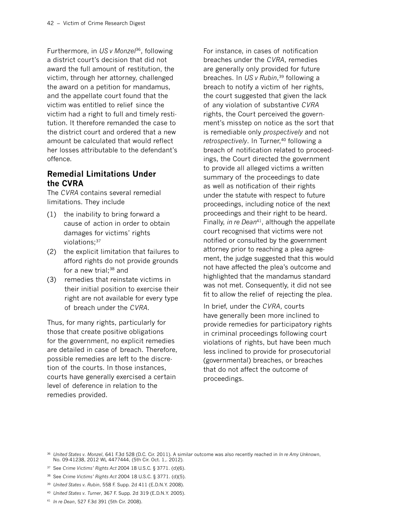Furthermore, in *US v Monzel*36, following a district court's decision that did not award the full amount of restitution, the victim, through her attorney, challenged the award on a petition for mandamus, and the appellate court found that the victim was entitled to relief since the victim had a right to full and timely restitution. It therefore remanded the case to the district court and ordered that a new amount be calculated that would reflect her losses attributable to the defendant's offence.

## **Remedial Limitations Under the CVRA**

The *CVRA* contains several remedial limitations. They include

- (1) the inability to bring forward a cause of action in order to obtain damages for victims' rights violations;<sup>37</sup>
- (2) the explicit limitation that failures to afford rights do not provide grounds for a new trial; $38$  and
- (3) remedies that reinstate victims in their initial position to exercise their right are not available for every type of breach under the *CVRA*.

Thus, for many rights, particularly for those that create positive obligations for the government, no explicit remedies are detailed in case of breach. Therefore, possible remedies are left to the discretion of the courts. In those instances, courts have generally exercised a certain level of deference in relation to the remedies provided.

For instance, in cases of notification breaches under the *CVRA*, remedies are generally only provided for future breaches. In *US v Rubin*, 39 following a breach to notify a victim of her rights, the court suggested that given the lack of any violation of substantive *CVRA* rights, the Court perceived the government's misstep on notice as the sort that is remediable only *prospectively* and not *retrospectively*. In Turner,<sup>40</sup> following a breach of notification related to proceedings, the Court directed the government to provide all alleged victims a written summary of the proceedings to date as well as notification of their rights under the statute with respect to future proceedings, including notice of the next proceedings and their right to be heard. Finally, *in re Dean*41, although the appellate court recognised that victims were not notified or consulted by the government attorney prior to reaching a plea agreement, the judge suggested that this would not have affected the plea's outcome and highlighted that the mandamus standard was not met. Consequently, it did not see fit to allow the relief of rejecting the plea.

In brief, under the *CVRA*, courts have generally been more inclined to provide remedies for participatory rights in criminal proceedings following court violations of rights, but have been much less inclined to provide for prosecutorial (governmental) breaches, or breaches that do not affect the outcome of proceedings.

<sup>36</sup> *United States v. Monzel*, 641 F.3d 528 (D.C. Cir. 2011). A similar outcome was also recently reached in *In re Amy Unknown*, No. 09-41238, 2012 WL 4477444, (5th Cir. Oct. 1,. 2012).

<sup>37</sup> See *Crime Victims' Rights Act* 2004 18 U.S.C. § 3771. (d)(6).

<sup>38</sup> See *Crime Victims' Rights Act* 2004 18 U.S.C. § 3771. (d)(5).

<sup>39</sup> *United States v. Rubin*, 558 F. Supp. 2d 411 (E.D.N.Y. 2008).

<sup>40</sup> *United States v. Turner*, 367 F. Supp. 2d 319 (E.D.N.Y. 2005).

<sup>41</sup> *In re Dean*, 527 F.3d 391 (5th Cir. 2008).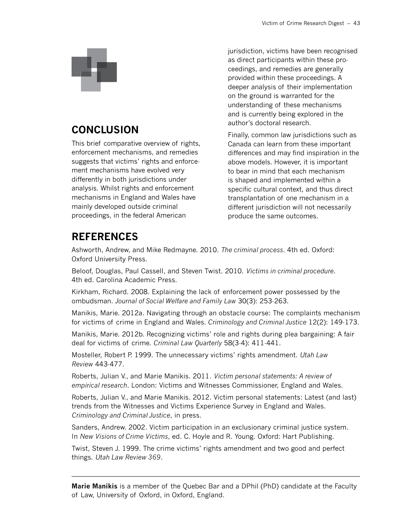

# **Conclusion**

This brief comparative overview of rights, enforcement mechanisms, and remedies suggests that victims' rights and enforcement mechanisms have evolved very differently in both jurisdictions under analysis. Whilst rights and enforcement mechanisms in England and Wales have mainly developed outside criminal proceedings, in the federal American

jurisdiction, victims have been recognised as direct participants within these proceedings, and remedies are generally provided within these proceedings. A deeper analysis of their implementation on the ground is warranted for the understanding of these mechanisms and is currently being explored in the author's doctoral research.

Finally, common law jurisdictions such as Canada can learn from these important differences and may find inspiration in the above models. However, it is important to bear in mind that each mechanism is shaped and implemented within a specific cultural context, and thus direct transplantation of one mechanism in a different jurisdiction will not necessarily produce the same outcomes.

# **References**

Ashworth, Andrew, and Mike Redmayne. 2010. *The criminal process*. 4th ed. Oxford: Oxford University Press.

Beloof, Douglas, Paul Cassell, and Steven Twist. 2010. *Victims in criminal procedure*. 4th ed. Carolina Academic Press.

Kirkham, Richard. 2008. Explaining the lack of enforcement power possessed by the ombudsman. *Journal of Social Welfare and Family Law* 30(3): 253-263.

Manikis, Marie. 2012a. Navigating through an obstacle course: The complaints mechanism for victims of crime in England and Wales. *Criminology and Criminal Justice* 12(2): 149-173.

Manikis, Marie. 2012b. Recognizing victims' role and rights during plea bargaining: A fair deal for victims of crime. *Criminal Law Quarterly* 58(3-4): 411-441.

Mosteller, Robert P. 1999. The unnecessary victims' rights amendment. *Utah Law Review* 443-477.

Roberts, Julian V., and Marie Manikis. 2011. *Victim personal statements: A review of empirical research*. London: Victims and Witnesses Commissioner, England and Wales.

Roberts, Julian V., and Marie Manikis. 2012. Victim personal statements: Latest (and last) trends from the Witnesses and Victims Experience Survey in England and Wales. *Criminology and Criminal Justice*, in press.

Sanders, Andrew. 2002. Victim participation in an exclusionary criminal justice system. In *New Visions of Crime Victims*, ed. C. Hoyle and R. Young. Oxford: Hart Publishing.

Twist, Steven J. 1999. The crime victims' rights amendment and two good and perfect things. *Utah Law Review 369*.

**Marie Manikis** is a member of the Quebec Bar and a DPhil (PhD) candidate at the Faculty of Law, University of Oxford, in Oxford, England.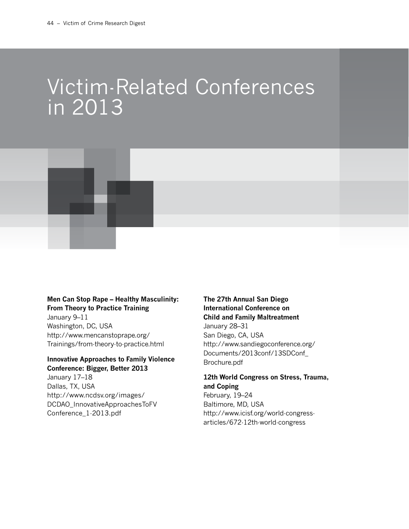# Victim-Related Conferences in 2013



#### **Men Can Stop Rape – Healthy Masculinity: From Theory to Practice Training**

January 9–11 Washington, DC, USA [http://www.mencanstoprape.org/](http://www.mencanstoprape.org/Trainings/from-theory-to-practice.html) [Trainings/from-theory-to-practice.html](http://www.mencanstoprape.org/Trainings/from-theory-to-practice.html)

#### **Innovative Approaches to Family Violence Conference: Bigger, Better 2013**

January 17–18 Dallas, TX, USA [http://www.ncdsv.org/images/](http://www.ncdsv.org/images/DCDAO_InnovativeApproachesToFVConference_1-2013.pdf)  [DCDAO\\_InnovativeApproachesToFV](http://www.ncdsv.org/images/DCDAO_InnovativeApproachesToFVConference_1-2013.pdf)  [Conference\\_1-2013.pdf](http://www.ncdsv.org/images/DCDAO_InnovativeApproachesToFVConference_1-2013.pdf)

# **The 27th Annual San Diego International Conference on Child and Family Maltreatment**

January 28–31 San Diego, CA, USA [http://www.sandiegoconference.org/](http://www.sandiegoconference.org/Documents/2013conf/13SDConf_Brochure.pdf) [Documents/2013conf/13SDConf\\_](http://www.sandiegoconference.org/Documents/2013conf/13SDConf_Brochure.pdf) [Brochure.pdf](http://www.sandiegoconference.org/Documents/2013conf/13SDConf_Brochure.pdf)

#### **12th World Congress on Stress, Trauma, and Coping**

February, 19–24 Baltimore, MD, USA [http://www.icisf.org/world-congress](http://www.icisf.org/world-congress-articles/672-12th-world-congress)[articles/672-12th-world-congress](http://www.icisf.org/world-congress-articles/672-12th-world-congress)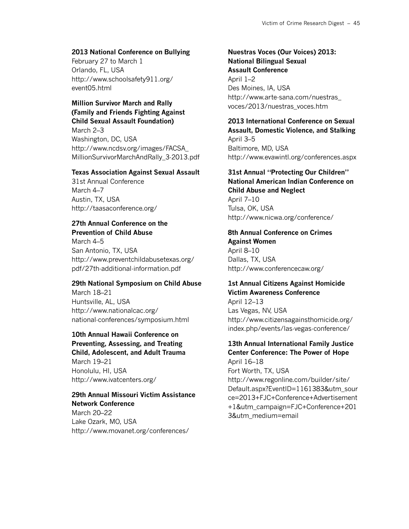#### **2013 National Conference on Bullying**

February 27 to March 1 Orlando, FL, USA [http://www.schoolsafety911.org/](http://www.schoolsafety911.org/event05.html) [event05.html](http://www.schoolsafety911.org/event05.html)

## **Million Survivor March and Rally (Family and Friends Fighting Against Child Sexual Assault Foundation)**

March 2–3 Washington, DC, USA [http://www.ncdsv.org/images/FACSA\\_](http://www.ncdsv.org/images/FACSA_MillionSurvivorMarchAndRally_3-2013.pdf) [MillionSurvivorMarchAndRally\\_3-2013.pdf](http://www.ncdsv.org/images/FACSA_MillionSurvivorMarchAndRally_3-2013.pdf)

#### **Texas Association Against Sexual Assault**

31st Annual Conference March 4–7 Austin, TX, USA <http://taasaconference.org/>

#### **27th Annual Conference on the Prevention of Child Abuse**

March 4–5 San Antonio, TX, USA [http://www.preventchildabusetexas.org/](http://www.preventchildabusetexas.org/pdf/27th-additional-information.pdf) [pdf/27th-additional-information.pdf](http://www.preventchildabusetexas.org/pdf/27th-additional-information.pdf)

#### **29th National Symposium on Child Abuse**

March 18–21 Huntsville, AL, USA [http://www.nationalcac.org/](http://www.nationalcac.org/national-conferences/symposium.html) [national-conferences/symposium.html](http://www.nationalcac.org/national-conferences/symposium.html)

**10th Annual Hawaii Conference on Preventing, Assessing, and Treating Child, Adolescent, and Adult Trauma** March 19–21 Honolulu, HI, USA

# <http://www.ivatcenters.org/> **29th Annual Missouri Victim Assistance**

**Network Conference** March 20–22 Lake Ozark, MO, USA <http://www.movanet.org/conferences/>

#### **Nuestras Voces (Our Voices) 2013: National Bilingual Sexual Assault Conference**

April 1–2 Des Moines, IA, USA [http://www.arte-sana.com/nuestras\\_](http://www.arte-sana.com/nuestras_voces/2013/nuestras_voces.htm) [voces/2013/nuestras\\_voces.htm](http://www.arte-sana.com/nuestras_voces/2013/nuestras_voces.htm)

#### **2013 International Conference on Sexual Assault, Domestic Violence, and Stalking** April 3–5 Baltimore, MD, USA <http://www.evawintl.org/conferences.aspx>

#### **31st Annual "Protecting Our Children"**

**National American Indian Conference on Child Abuse and Neglect** April 7–10 Tulsa, OK, USA

<http://www.nicwa.org/conference/>

# **8th Annual Conference on Crimes Against Women** April 8–10

Dallas, TX, USA [http://www.conferencecaw.org/](http://www.conferencecaw.org/ )

#### **1st Annual Citizens Against Homicide Victim Awareness Conference**

April 12–13 Las Vegas, NV, USA [http://www.citizensagainsthomicide.org/](http://www.citizensagainsthomicide.org/index.php/events/las-vegas-conference/) [index.php/events/las-vegas-conference/](http://www.citizensagainsthomicide.org/index.php/events/las-vegas-conference/)

# **13th Annual International Family Justice Center Conference: The Power of Hope**

April 16–18 Fort Worth, TX, USA [http://www.regonline.com/builder/site/](http://www.regonline.com/builder/site/Default.aspx?EventID=1161383&utm_source=2013+FJC+Conference+Advertisement+1&utm_campaign=FJC+Conference+2013&utm_medium=email) [Default.aspx?EventID=1161383&utm\\_sour](http://www.regonline.com/builder/site/Default.aspx?EventID=1161383&utm_source=2013+FJC+Conference+Advertisement+1&utm_campaign=FJC+Conference+2013&utm_medium=email) [ce=2013+FJC+Conference+Advertisement](http://www.regonline.com/builder/site/Default.aspx?EventID=1161383&utm_source=2013+FJC+Conference+Advertisement+1&utm_campaign=FJC+Conference+2013&utm_medium=email) [+1&utm\\_campaign=FJC+Conference+201](http://www.regonline.com/builder/site/Default.aspx?EventID=1161383&utm_source=2013+FJC+Conference+Advertisement+1&utm_campaign=FJC+Conference+2013&utm_medium=email) [3&utm\\_medium=email](http://www.regonline.com/builder/site/Default.aspx?EventID=1161383&utm_source=2013+FJC+Conference+Advertisement+1&utm_campaign=FJC+Conference+2013&utm_medium=email)